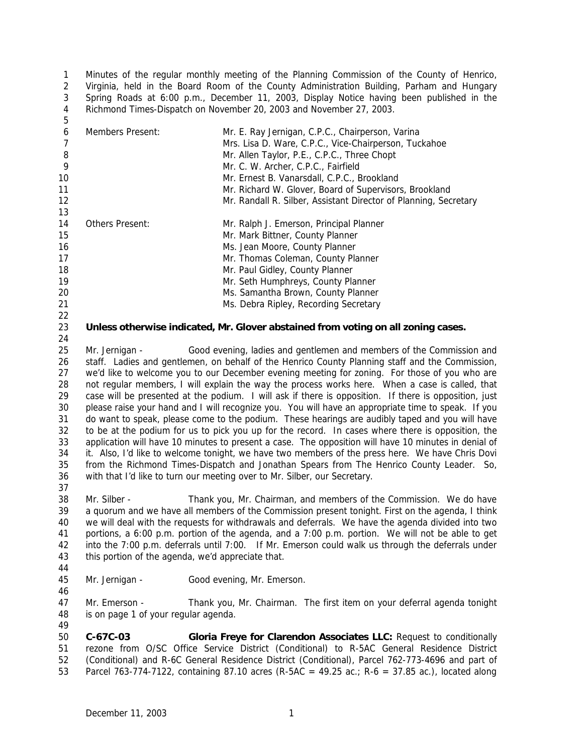Minutes of the regular monthly meeting of the Planning Commission of the County of Henrico, Virginia, held in the Board Room of the County Administration Building, Parham and Hungary Spring Roads at 6:00 p.m., December 11, 2003, Display Notice having been published in the Richmond Times-Dispatch on November 20, 2003 and November 27, 2003. 

| 6<br>8 | Members Present: | Mr. E. Ray Jernigan, C.P.C., Chairperson, Varina<br>Mrs. Lisa D. Ware, C.P.C., Vice-Chairperson, Tuckahoe<br>Mr. Allen Taylor, P.E., C.P.C., Three Chopt |
|--------|------------------|----------------------------------------------------------------------------------------------------------------------------------------------------------|
| 9      |                  | Mr. C. W. Archer, C.P.C., Fairfield                                                                                                                      |
| 10     |                  | Mr. Ernest B. Vanarsdall, C.P.C., Brookland                                                                                                              |
| 11     |                  | Mr. Richard W. Glover, Board of Supervisors, Brookland                                                                                                   |
| 12     |                  | Mr. Randall R. Silber, Assistant Director of Planning, Secretary                                                                                         |
| 13     |                  |                                                                                                                                                          |
| 14     | Others Present:  | Mr. Ralph J. Emerson, Principal Planner                                                                                                                  |
| 15     |                  | Mr. Mark Bittner, County Planner                                                                                                                         |
| 16     |                  | Ms. Jean Moore, County Planner                                                                                                                           |
| 17     |                  | Mr. Thomas Coleman, County Planner                                                                                                                       |
| 18     |                  | Mr. Paul Gidley, County Planner                                                                                                                          |
| 19     |                  | Mr. Seth Humphreys, County Planner                                                                                                                       |
| 20     |                  | Ms. Samantha Brown, County Planner                                                                                                                       |
| 21     |                  | Ms. Debra Ripley, Recording Secretary                                                                                                                    |
| 22     |                  |                                                                                                                                                          |

## **Unless otherwise indicated, Mr. Glover abstained from voting on all zoning cases.**

25 Mr. Jernigan - Good evening, ladies and gentlemen and members of the Commission and staff. Ladies and gentlemen, on behalf of the Henrico County Planning staff and the Commission, we'd like to welcome you to our December evening meeting for zoning. For those of you who are not regular members, I will explain the way the process works here. When a case is called, that case will be presented at the podium. I will ask if there is opposition. If there is opposition, just please raise your hand and I will recognize you. You will have an appropriate time to speak. If you do want to speak, please come to the podium. These hearings are audibly taped and you will have to be at the podium for us to pick you up for the record. In cases where there is opposition, the application will have 10 minutes to present a case. The opposition will have 10 minutes in denial of it. Also, I'd like to welcome tonight, we have two members of the press here. We have Chris Dovi from the *Richmond Times-Dispatch* and Jonathan Spears from *The Henrico County Leader.* So, with that I'd like to turn our meeting over to Mr. Silber, our Secretary. 

 Mr. Silber - Thank you, Mr. Chairman, and members of the Commission. We do have a quorum and we have all members of the Commission present tonight. First on the agenda, I think we will deal with the requests for withdrawals and deferrals. We have the agenda divided into two portions, a 6:00 p.m. portion of the agenda, and a 7:00 p.m. portion. We will not be able to get into the 7:00 p.m. deferrals until 7:00. If Mr. Emerson could walk us through the deferrals under this portion of the agenda, we'd appreciate that.

45 Mr. Jernigan - Good evening, Mr. Emerson.

 Mr. Emerson - Thank you, Mr. Chairman. The first item on your deferral agenda tonight is on page 1 of your regular agenda. 

 **C-67C-03 Gloria Freye for Clarendon Associates LLC:** Request to conditionally rezone from O/SC Office Service District (Conditional) to R-5AC General Residence District (Conditional) and R-6C General Residence District (Conditional), Parcel 762-773-4696 and part of Parcel 763-774-7122, containing 87.10 acres (R-5AC = 49.25 ac.; R-6 = 37.85 ac.), located along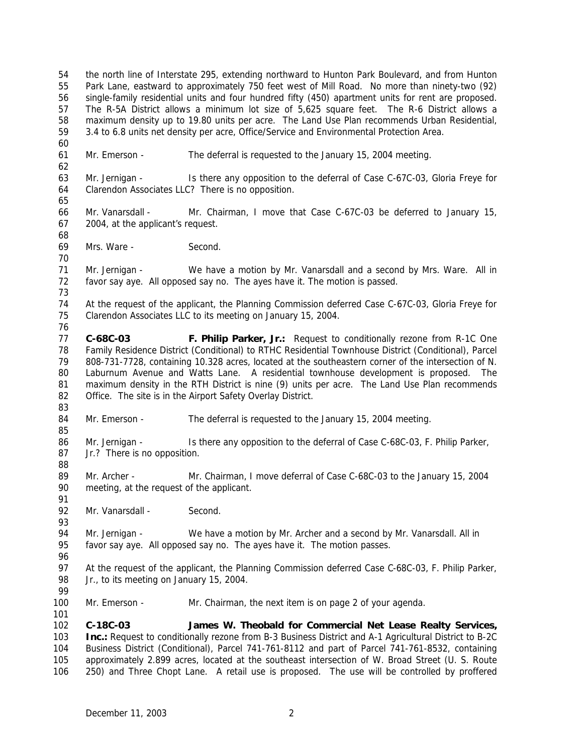the north line of Interstate 295, extending northward to Hunton Park Boulevard, and from Hunton Park Lane, eastward to approximately 750 feet west of Mill Road. No more than ninety-two (92) single-family residential units and four hundred fifty (450) apartment units for rent are proposed. The R-5A District allows a minimum lot size of 5,625 square feet. The R-6 District allows a maximum density up to 19.80 units per acre. The Land Use Plan recommends Urban Residential, 3.4 to 6.8 units net density per acre, Office/Service and Environmental Protection Area. Mr. Emerson - The deferral is requested to the January 15, 2004 meeting. Mr. Jernigan - Is there any opposition to the deferral of Case C-67C-03, Gloria Freye for Clarendon Associates LLC? There is no opposition. Mr. Vanarsdall - Mr. Chairman, I move that Case C-67C-03 be deferred to January 15, 2004, at the applicant's request. Mrs. Ware - Second. Mr. Jernigan - We have a motion by Mr. Vanarsdall and a second by Mrs. Ware. All in favor say aye. All opposed say no. The ayes have it. The motion is passed. At the request of the applicant, the Planning Commission deferred Case C-67C-03, Gloria Freye for Clarendon Associates LLC to its meeting on January 15, 2004. **C-68C-03 F. Philip Parker, Jr.:** Request to conditionally rezone from R-1C One Family Residence District (Conditional) to RTHC Residential Townhouse District (Conditional), Parcel 808-731-7728, containing 10.328 acres, located at the southeastern corner of the intersection of N. Laburnum Avenue and Watts Lane. A residential townhouse development is proposed. The maximum density in the RTH District is nine (9) units per acre. The Land Use Plan recommends 82 Office. The site is in the Airport Safety Overlay District. 84 Mr. Emerson - The deferral is requested to the January 15, 2004 meeting. 86 Mr. Jernigan - Is there any opposition to the deferral of Case C-68C-03, F. Philip Parker, Jr.? There is no opposition. Mr. Archer - Mr. Chairman, I move deferral of Case C-68C-03 to the January 15, 2004 meeting, at the request of the applicant. 92 Mr. Vanarsdall - Second. 94 Mr. Jernigan - We have a motion by Mr. Archer and a second by Mr. Vanarsdall. All in favor say aye. All opposed say no. The ayes have it. The motion passes. 97 At the request of the applicant, the Planning Commission deferred Case C-68C-03, F. Philip Parker, 98 Jr., to its meeting on January 15, 2004. Mr. Emerson - Mr. Chairman, the next item is on page 2 of your agenda. **C-18C-03 James W. Theobald for Commercial Net Lease Realty Services, Inc.:** Request to conditionally rezone from B-3 Business District and A-1 Agricultural District to B-2C Business District (Conditional), Parcel 741-761-8112 and part of Parcel 741-761-8532, containing approximately 2.899 acres, located at the southeast intersection of W. Broad Street (U. S. Route 250) and Three Chopt Lane. A retail use is proposed. The use will be controlled by proffered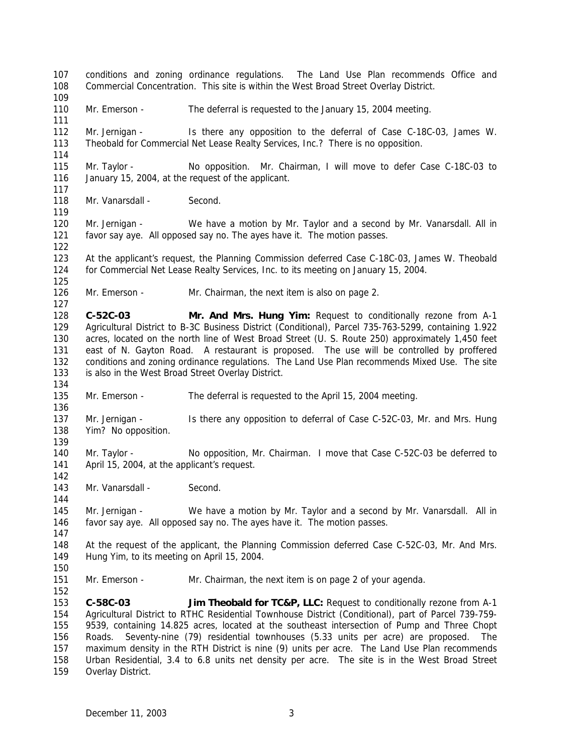conditions and zoning ordinance regulations. The Land Use Plan recommends Office and Commercial Concentration. This site is within the West Broad Street Overlay District. 110 Mr. Emerson - The deferral is requested to the January 15, 2004 meeting. Mr. Jernigan - Is there any opposition to the deferral of Case C-18C-03, James W. Theobald for Commercial Net Lease Realty Services, Inc.? There is no opposition. Mr. Taylor - No opposition. Mr. Chairman, I will move to defer Case C-18C-03 to January 15, 2004, at the request of the applicant. 118 Mr. Vanarsdall - Second. Mr. Jernigan - We have a motion by Mr. Taylor and a second by Mr. Vanarsdall. All in favor say aye. All opposed say no. The ayes have it. The motion passes. At the applicant's request, the Planning Commission deferred Case C-18C-03, James W. Theobald for Commercial Net Lease Realty Services, Inc. to its meeting on January 15, 2004. 126 Mr. Emerson - Mr. Chairman, the next item is also on page 2. **C-52C-03 Mr. And Mrs. Hung Yim:** Request to conditionally rezone from A-1 Agricultural District to B-3C Business District (Conditional), Parcel 735-763-5299, containing 1.922 acres, located on the north line of West Broad Street (U. S. Route 250) approximately 1,450 feet east of N. Gayton Road. A restaurant is proposed. The use will be controlled by proffered conditions and zoning ordinance regulations. The Land Use Plan recommends Mixed Use. The site is also in the West Broad Street Overlay District. Mr. Emerson - The deferral is requested to the April 15, 2004 meeting. Mr. Jernigan - Is there any opposition to deferral of Case C-52C-03, Mr. and Mrs. Hung Yim? No opposition. Mr. Taylor - No opposition, Mr. Chairman. I move that Case C-52C-03 be deferred to April 15, 2004, at the applicant's request. 143 Mr. Vanarsdall - Second. Mr. Jernigan - We have a motion by Mr. Taylor and a second by Mr. Vanarsdall. All in favor say aye. All opposed say no. The ayes have it. The motion passes. At the request of the applicant, the Planning Commission deferred Case C-52C-03, Mr. And Mrs. Hung Yim, to its meeting on April 15, 2004. 151 Mr. Emerson - Mr. Chairman, the next item is on page 2 of your agenda. **C-58C-03 Jim Theobald for TC&P, LLC:** Request to conditionally rezone from A-1 Agricultural District to RTHC Residential Townhouse District (Conditional), part of Parcel 739-759- 9539, containing 14.825 acres, located at the southeast intersection of Pump and Three Chopt Roads. Seventy-nine (79) residential townhouses (5.33 units per acre) are proposed. The maximum density in the RTH District is nine (9) units per acre. The Land Use Plan recommends Urban Residential, 3.4 to 6.8 units net density per acre. The site is in the West Broad Street Overlay District.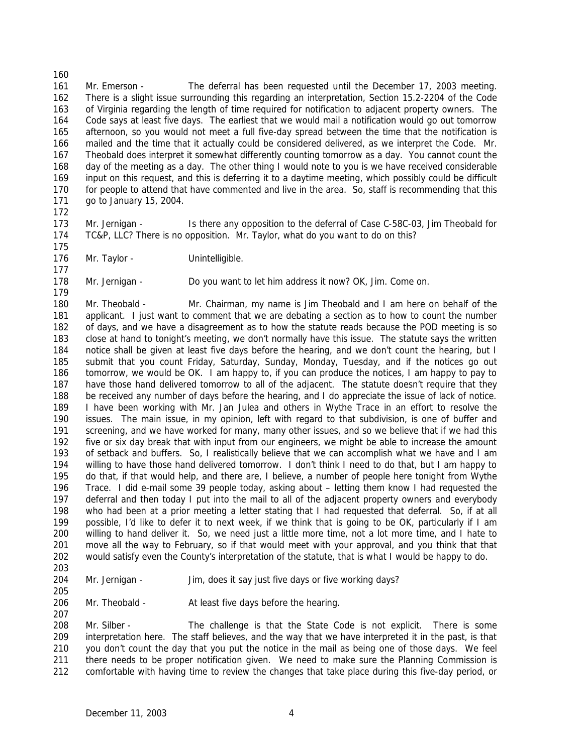Mr. Emerson - The deferral has been requested until the December 17, 2003 meeting. There is a slight issue surrounding this regarding an interpretation, Section 15.2-2204 of the Code of Virginia regarding the length of time required for notification to adjacent property owners. The Code says at least five days. The earliest that we would mail a notification would go out tomorrow afternoon, so you would not meet a full five-day spread between the time that the notification is mailed and the time that it actually could be considered delivered, as we interpret the Code. Mr. Theobald does interpret it somewhat differently counting tomorrow as a day. You cannot count the day of the meeting as a day. The other thing I would note to you is we have received considerable input on this request, and this is deferring it to a daytime meeting, which possibly could be difficult for people to attend that have commented and live in the area. So, staff is recommending that this go to January 15, 2004.

173 Mr. Jernigan - Is there any opposition to the deferral of Case C-58C-03, Jim Theobald for TC&P, LLC? There is no opposition. Mr. Taylor, what do you want to do on this? 

176 Mr. Taylor - Unintelligible.

 Mr. Jernigan - Do you want to let him address it now? OK, Jim. Come on. 

 Mr. Theobald - Mr. Chairman, my name is Jim Theobald and I am here on behalf of the applicant. I just want to comment that we are debating a section as to how to count the number of days, and we have a disagreement as to how the statute reads because the POD meeting is so close at hand to tonight's meeting, we don't normally have this issue. The statute says the written notice shall be given at least five days before the hearing, and we don't count the hearing, but I submit that you count Friday, Saturday, Sunday, Monday, Tuesday, and if the notices go out tomorrow, we would be OK. I am happy to, if you can produce the notices, I am happy to pay to have those hand delivered tomorrow to all of the adjacent. The statute doesn't require that they be received any number of days before the hearing, and I do appreciate the issue of lack of notice. I have been working with Mr. Jan Julea and others in Wythe Trace in an effort to resolve the issues. The main issue, in my opinion, left with regard to that subdivision, is one of buffer and screening, and we have worked for many, many other issues, and so we believe that if we had this five or six day break that with input from our engineers, we might be able to increase the amount of setback and buffers. So, I realistically believe that we can accomplish what we have and I am willing to have those hand delivered tomorrow. I don't think I need to do that, but I am happy to do that, if that would help, and there are, I believe, a number of people here tonight from Wythe Trace. I did e-mail some 39 people today, asking about – letting them know I had requested the deferral and then today I put into the mail to all of the adjacent property owners and everybody who had been at a prior meeting a letter stating that I had requested that deferral. So, if at all possible, I'd like to defer it to next week, if we think that is going to be OK, particularly if I am willing to hand deliver it. So, we need just a little more time, not a lot more time, and I hate to move all the way to February, so if that would meet with your approval, and you think that that would satisfy even the County's interpretation of the statute, that is what I would be happy to do.

204 Mr. Jernigan - Jim, does it say just five days or five working days?

206 Mr. Theobald - At least five days before the hearing.

 Mr. Silber - The challenge is that the State Code is not explicit. There is some interpretation here. The staff believes, and the way that we have interpreted it in the past, is that you don't count the day that you put the notice in the mail as being one of those days. We feel there needs to be proper notification given. We need to make sure the Planning Commission is comfortable with having time to review the changes that take place during this five-day period, or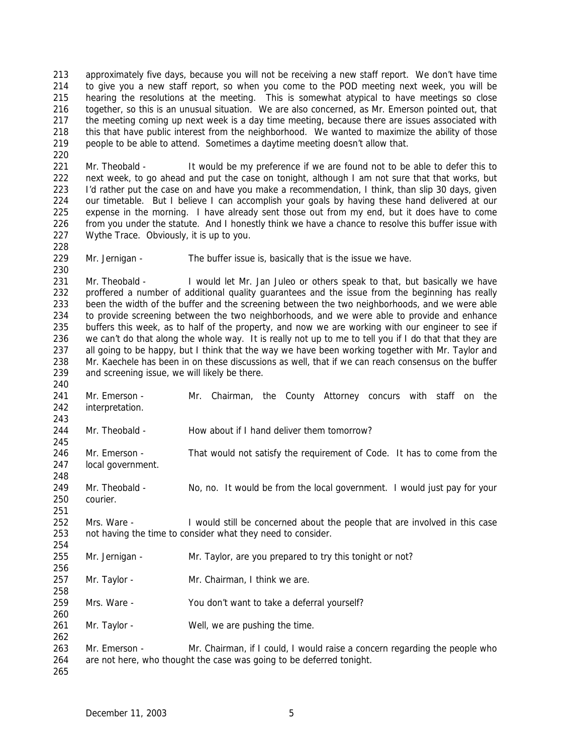approximately five days, because you will not be receiving a new staff report. We don't have time to give you a new staff report, so when you come to the POD meeting next week, you will be hearing the resolutions at the meeting. This is somewhat atypical to have meetings so close together, so this is an unusual situation. We are also concerned, as Mr. Emerson pointed out, that 217 the meeting coming up next week is a day time meeting, because there are issues associated with this that have public interest from the neighborhood. We wanted to maximize the ability of those people to be able to attend. Sometimes a daytime meeting doesn't allow that. 

221 Mr. Theobald - It would be my preference if we are found not to be able to defer this to next week, to go ahead and put the case on tonight, although I am not sure that that works, but I'd rather put the case on and have you make a recommendation, I think, than slip 30 days, given our timetable. But I believe I can accomplish your goals by having these hand delivered at our expense in the morning. I have already sent those out from my end, but it does have to come from you under the statute. And I honestly think we have a chance to resolve this buffer issue with Wythe Trace. Obviously, it is up to you.

Mr. Jernigan - The buffer issue is, basically that is the issue we have.

 Mr. Theobald - I would let Mr. Jan Juleo or others speak to that, but basically we have proffered a number of additional quality guarantees and the issue from the beginning has really been the width of the buffer and the screening between the two neighborhoods, and we were able to provide screening between the two neighborhoods, and we were able to provide and enhance buffers this week, as to half of the property, and now we are working with our engineer to see if 236 we can't do that along the whole way. It is really not up to me to tell you if I do that that they are 237 all going to be happy, but I think that the way we have been working together with Mr. Taylor and Mr. Kaechele has been in on these discussions as well, that if we can reach consensus on the buffer and screening issue, we will likely be there.

 Mr. Emerson - Mr. Chairman, the County Attorney concurs with staff on the interpretation. 

244 Mr. Theobald - How about if I hand deliver them tomorrow?

246 Mr. Emerson - That would not satisfy the requirement of Code. It has to come from the local government. 

 Mr. Theobald - No, no. It would be from the local government. I would just pay for your courier.

 Mrs. Ware - I would still be concerned about the people that are involved in this case not having the time to consider what they need to consider.

- Mr. Jernigan Mr. Taylor, are you prepared to try this tonight or not?
- Mr. Taylor Mr. Chairman, I think we are.
- Mrs. Ware You don't want to take a deferral yourself?
- 261 Mr. Taylor Well, we are pushing the time.
- 263 Mr. Emerson Mr. Chairman, if I could, I would raise a concern regarding the people who are not here, who thought the case was going to be deferred tonight.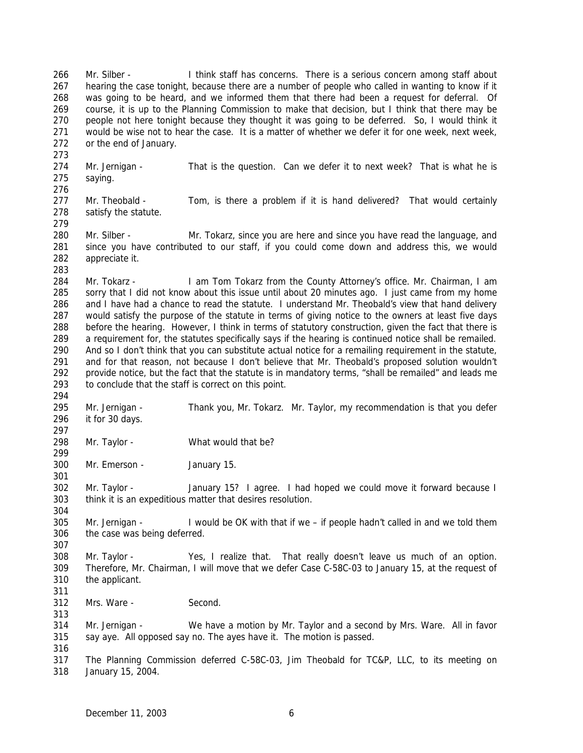266 Mr. Silber - I think staff has concerns. There is a serious concern among staff about hearing the case tonight, because there are a number of people who called in wanting to know if it was going to be heard, and we informed them that there had been a request for deferral. Of course, it is up to the Planning Commission to make that decision, but I think that there may be people not here tonight because they thought it was going to be deferred. So, I would think it would be wise not to hear the case. It is a matter of whether we defer it for one week, next week, or the end of January. Mr. Jernigan - That is the question. Can we defer it to next week? That is what he is saying. 277 Mr. Theobald - Tom, is there a problem if it is hand delivered? That would certainly satisfy the statute. Mr. Silber - Mr. Tokarz, since you are here and since you have read the language, and since you have contributed to our staff, if you could come down and address this, we would appreciate it. 284 Mr. Tokarz - I am Tom Tokarz from the County Attorney's office. Mr. Chairman, I am 285 sorry that I did not know about this issue until about 20 minutes ago. I just came from my home and I have had a chance to read the statute. I understand Mr. Theobald's view that hand delivery would satisfy the purpose of the statute in terms of giving notice to the owners at least five days before the hearing. However, I think in terms of statutory construction, given the fact that there is a requirement for, the statutes specifically says if the hearing is continued notice shall be remailed. And so I don't think that you can substitute actual notice for a remailing requirement in the statute, and for that reason, not because I don't believe that Mr. Theobald's proposed solution wouldn't provide notice, but the fact that the statute is in mandatory terms, "shall be remailed" and leads me to conclude that the staff is correct on this point. Mr. Jernigan - Thank you, Mr. Tokarz. Mr. Taylor, my recommendation is that you defer it for 30 days. Mr. Taylor - What would that be? Mr. Emerson - January 15. Mr. Taylor - January 15? I agree. I had hoped we could move it forward because I think it is an expeditious matter that desires resolution. Mr. Jernigan - I would be OK with that if we – if people hadn't called in and we told them the case was being deferred. Mr. Taylor - Yes, I realize that. That really doesn't leave us much of an option. Therefore, Mr. Chairman, I will move that we defer Case C-58C-03 to January 15, at the request of the applicant. Mrs. Ware - Second. Mr. Jernigan - We have a motion by Mr. Taylor and a second by Mrs. Ware. All in favor say aye. All opposed say no. The ayes have it. The motion is passed. The Planning Commission deferred C-58C-03, Jim Theobald for TC&P, LLC, to its meeting on January 15, 2004.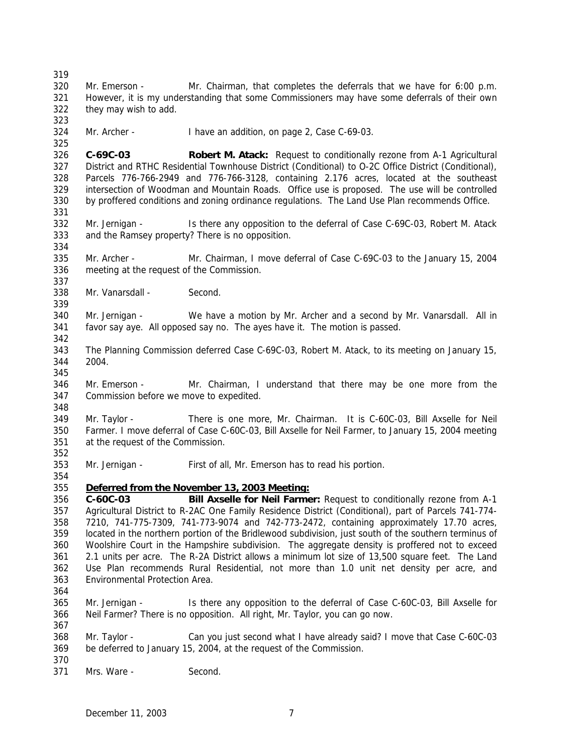Mr. Emerson - Mr. Chairman, that completes the deferrals that we have for 6:00 p.m. However, it is my understanding that some Commissioners may have some deferrals of their own they may wish to add. Mr. Archer - I have an addition, on page 2, Case C-69-03. **C-69C-03 Robert M. Atack:** Request to conditionally rezone from A-1 Agricultural District and RTHC Residential Townhouse District (Conditional) to O-2C Office District (Conditional), Parcels 776-766-2949 and 776-766-3128, containing 2.176 acres, located at the southeast intersection of Woodman and Mountain Roads. Office use is proposed. The use will be controlled by proffered conditions and zoning ordinance regulations. The Land Use Plan recommends Office. 332 Mr. Jernigan - Is there any opposition to the deferral of Case C-69C-03, Robert M. Atack and the Ramsey property? There is no opposition. Mr. Archer - Mr. Chairman, I move deferral of Case C-69C-03 to the January 15, 2004 meeting at the request of the Commission. 338 Mr. Vanarsdall - Second. Mr. Jernigan - We have a motion by Mr. Archer and a second by Mr. Vanarsdall. All in favor say aye. All opposed say no. The ayes have it. The motion is passed. The Planning Commission deferred Case C-69C-03, Robert M. Atack, to its meeting on January 15, 2004. Mr. Emerson - Mr. Chairman, I understand that there may be one more from the Commission before we move to expedited. Mr. Taylor - There is one more, Mr. Chairman. It is C-60C-03, Bill Axselle for Neil Farmer. I move deferral of Case C-60C-03, Bill Axselle for Neil Farmer, to January 15, 2004 meeting at the request of the Commission. Mr. Jernigan - First of all, Mr. Emerson has to read his portion. *Deferred from the November 13, 2003 Meeting:* **C-60C-03 Bill Axselle for Neil Farmer:** Request to conditionally rezone from A-1 Agricultural District to R-2AC One Family Residence District (Conditional), part of Parcels 741-774- 7210, 741-775-7309, 741-773-9074 and 742-773-2472, containing approximately 17.70 acres, located in the northern portion of the Bridlewood subdivision, just south of the southern terminus of Woolshire Court in the Hampshire subdivision. The aggregate density is proffered not to exceed 2.1 units per acre. The R-2A District allows a minimum lot size of 13,500 square feet. The Land Use Plan recommends Rural Residential, not more than 1.0 unit net density per acre, and Environmental Protection Area. Mr. Jernigan - Is there any opposition to the deferral of Case C-60C-03, Bill Axselle for Neil Farmer? There is no opposition. All right, Mr. Taylor, you can go now. Mr. Taylor - Can you just second what I have already said? I move that Case C-60C-03 be deferred to January 15, 2004, at the request of the Commission. Mrs. Ware - Second.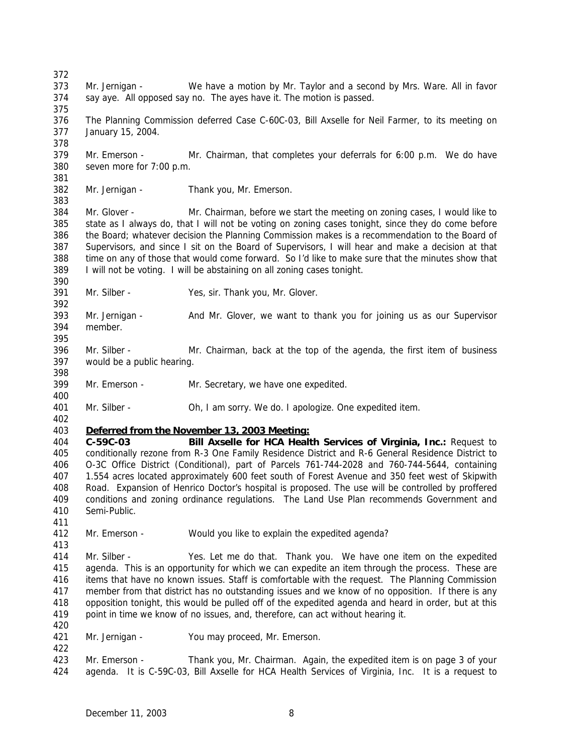Mr. Jernigan - We have a motion by Mr. Taylor and a second by Mrs. Ware. All in favor say aye. All opposed say no. The ayes have it. The motion is passed. The Planning Commission deferred Case C-60C-03, Bill Axselle for Neil Farmer, to its meeting on January 15, 2004. Mr. Emerson - Mr. Chairman, that completes your deferrals for 6:00 p.m. We do have seven more for 7:00 p.m. Mr. Jernigan - Thank you, Mr. Emerson. Mr. Glover - Mr. Chairman, before we start the meeting on zoning cases, I would like to state as I always do, that I will not be voting on zoning cases tonight, since they do come before the Board; whatever decision the Planning Commission makes is a recommendation to the Board of Supervisors, and since I sit on the Board of Supervisors, I will hear and make a decision at that time on any of those that would come forward. So I'd like to make sure that the minutes show that I will not be voting. I will be abstaining on all zoning cases tonight. Mr. Silber - Yes, sir. Thank you, Mr. Glover. Mr. Jernigan - And Mr. Glover, we want to thank you for joining us as our Supervisor member. Mr. Silber - Mr. Chairman, back at the top of the agenda, the first item of business would be a public hearing. Mr. Emerson - Mr. Secretary, we have one expedited. Mr. Silber - Oh, I am sorry. We do. I apologize. One expedited item. *Deferred from the November 13, 2003 Meeting:* **C-59C-03 Bill Axselle for HCA Health Services of Virginia, Inc.:** Request to conditionally rezone from R-3 One Family Residence District and R-6 General Residence District to O-3C Office District (Conditional), part of Parcels 761-744-2028 and 760-744-5644, containing 1.554 acres located approximately 600 feet south of Forest Avenue and 350 feet west of Skipwith Road. Expansion of Henrico Doctor's hospital is proposed. The use will be controlled by proffered conditions and zoning ordinance regulations. The Land Use Plan recommends Government and Semi-Public. Mr. Emerson - Would you like to explain the expedited agenda? Mr. Silber - Yes. Let me do that. Thank you. We have one item on the expedited agenda. This is an opportunity for which we can expedite an item through the process. These are items that have no known issues. Staff is comfortable with the request. The Planning Commission member from that district has no outstanding issues and we know of no opposition. If there is any opposition tonight, this would be pulled off of the expedited agenda and heard in order, but at this point in time we know of no issues, and, therefore, can act without hearing it. Mr. Jernigan - You may proceed, Mr. Emerson. Mr. Emerson - Thank you, Mr. Chairman. Again, the expedited item is on page 3 of your agenda. It is C-59C-03, Bill Axselle for HCA Health Services of Virginia, Inc. It is a request to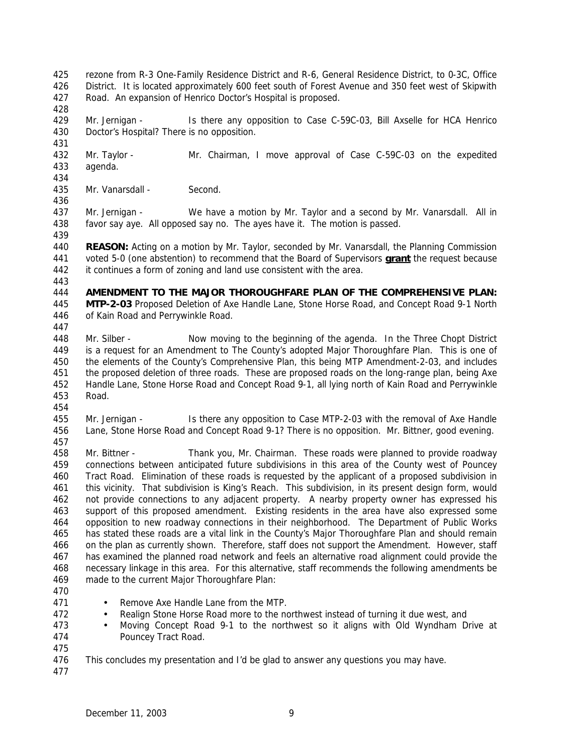rezone from R-3 One-Family Residence District and R-6, General Residence District, to 0-3C, Office District. It is located approximately 600 feet south of Forest Avenue and 350 feet west of Skipwith Road. An expansion of Henrico Doctor's Hospital is proposed.

 Mr. Jernigan - Is there any opposition to Case C-59C-03, Bill Axselle for HCA Henrico Doctor's Hospital? There is no opposition.

 Mr. Taylor - Mr. Chairman, I move approval of Case C-59C-03 on the expedited agenda. 

Mr. Vanarsdall - Second.

 Mr. Jernigan - We have a motion by Mr. Taylor and a second by Mr. Vanarsdall. All in favor say aye. All opposed say no. The ayes have it. The motion is passed. 

 **REASON:** Acting on a motion by Mr. Taylor, seconded by Mr. Vanarsdall, the Planning Commission voted 5-0 (one abstention) to recommend that the Board of Supervisors **grant** the request because it continues a form of zoning and land use consistent with the area.

 **AMENDMENT TO THE MAJOR THOROUGHFARE PLAN OF THE COMPREHENSIVE PLAN: MTP-2-03** Proposed Deletion of Axe Handle Lane, Stone Horse Road, and Concept Road 9-1 North of Kain Road and Perrywinkle Road.

 Mr. Silber - Now moving to the beginning of the agenda. In the Three Chopt District is a request for an Amendment to The County's adopted Major Thoroughfare Plan. This is one of the elements of the County's Comprehensive Plan, this being MTP Amendment-2-03, and includes the proposed deletion of three roads. These are proposed roads on the long-range plan, being Axe Handle Lane, Stone Horse Road and Concept Road 9-1, all lying north of Kain Road and Perrywinkle Road.

 Mr. Jernigan - Is there any opposition to Case MTP-2-03 with the removal of Axe Handle Lane, Stone Horse Road and Concept Road 9-1? There is no opposition. Mr. Bittner, good evening. 

 Mr. Bittner - Thank you, Mr. Chairman. These roads were planned to provide roadway connections between anticipated future subdivisions in this area of the County west of Pouncey Tract Road. Elimination of these roads is requested by the applicant of a proposed subdivision in this vicinity. That subdivision is King's Reach. This subdivision, in its present design form, would not provide connections to any adjacent property. A nearby property owner has expressed his support of this proposed amendment. Existing residents in the area have also expressed some opposition to new roadway connections in their neighborhood. The Department of Public Works has stated these roads are a vital link in the County's Major Thoroughfare Plan and should remain on the plan as currently shown. Therefore, staff does not support the Amendment. However, staff has examined the planned road network and feels an alternative road alignment could provide the necessary linkage in this area. For this alternative, staff recommends the following amendments be made to the current Major Thoroughfare Plan:

- 
- 471 Remove Axe Handle Lane from the MTP.
- Realign Stone Horse Road more to the northwest instead of turning it due west, and
- Moving Concept Road 9-1 to the northwest so it aligns with Old Wyndham Drive at Pouncey Tract Road.
- 

This concludes my presentation and I'd be glad to answer any questions you may have.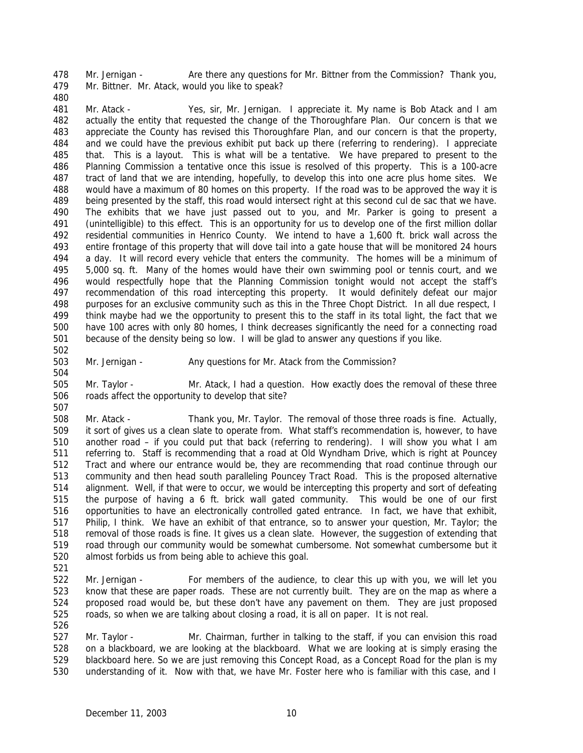478 Mr. Jernigan - Are there any questions for Mr. Bittner from the Commission? Thank you, Mr. Bittner. Mr. Atack, would you like to speak?

 Mr. Atack - Yes, sir, Mr. Jernigan. I appreciate it. My name is Bob Atack and I am actually the entity that requested the change of the Thoroughfare Plan. Our concern is that we appreciate the County has revised this Thoroughfare Plan, and our concern is that the property, and we could have the previous exhibit put back up there (referring to rendering). I appreciate that. This is a layout. This is what will be a tentative. We have prepared to present to the Planning Commission a tentative once this issue is resolved of this property. This is a 100-acre tract of land that we are intending, hopefully, to develop this into one acre plus home sites. We would have a maximum of 80 homes on this property. If the road was to be approved the way it is being presented by the staff, this road would intersect right at this second cul de sac that we have. The exhibits that we have just passed out to you, and Mr. Parker is going to present a (unintelligible) to this effect. This is an opportunity for us to develop one of the first million dollar residential communities in Henrico County. We intend to have a 1,600 ft. brick wall across the entire frontage of this property that will dove tail into a gate house that will be monitored 24 hours a day. It will record every vehicle that enters the community. The homes will be a minimum of 5,000 sq. ft. Many of the homes would have their own swimming pool or tennis court, and we would respectfully hope that the Planning Commission tonight would not accept the staff's recommendation of this road intercepting this property. It would definitely defeat our major purposes for an exclusive community such as this in the Three Chopt District. In all due respect, I think maybe had we the opportunity to present this to the staff in its total light, the fact that we have 100 acres with only 80 homes, I think decreases significantly the need for a connecting road because of the density being so low. I will be glad to answer any questions if you like.

503 Mr. Jernigan - Any questions for Mr. Atack from the Commission?

 Mr. Taylor - Mr. Atack, I had a question. How exactly does the removal of these three roads affect the opportunity to develop that site? 

 Mr. Atack - Thank you, Mr. Taylor. The removal of those three roads is fine. Actually, it sort of gives us a clean slate to operate from. What staff's recommendation is, however, to have another road – if you could put that back (referring to rendering). I will show you what I am referring to. Staff is recommending that a road at Old Wyndham Drive, which is right at Pouncey Tract and where our entrance would be, they are recommending that road continue through our community and then head south paralleling Pouncey Tract Road. This is the proposed alternative alignment. Well, if that were to occur, we would be intercepting this property and sort of defeating the purpose of having a 6 ft. brick wall gated community. This would be one of our first opportunities to have an electronically controlled gated entrance. In fact, we have that exhibit, Philip, I think. We have an exhibit of that entrance, so to answer your question, Mr. Taylor; the removal of those roads is fine. It gives us a clean slate. However, the suggestion of extending that road through our community would be somewhat cumbersome. Not somewhat cumbersome but it almost forbids us from being able to achieve this goal.

 Mr. Jernigan - For members of the audience, to clear this up with you, we will let you know that these are paper roads. These are not currently built. They are on the map as where a proposed road would be, but these don't have any pavement on them. They are just proposed roads, so when we are talking about closing a road, it is all on paper. It is not real.

 Mr. Taylor - Mr. Chairman, further in talking to the staff, if you can envision this road on a blackboard, we are looking at the blackboard. What we are looking at is simply erasing the blackboard here. So we are just removing this Concept Road, as a Concept Road for the plan is my understanding of it. Now with that, we have Mr. Foster here who is familiar with this case, and I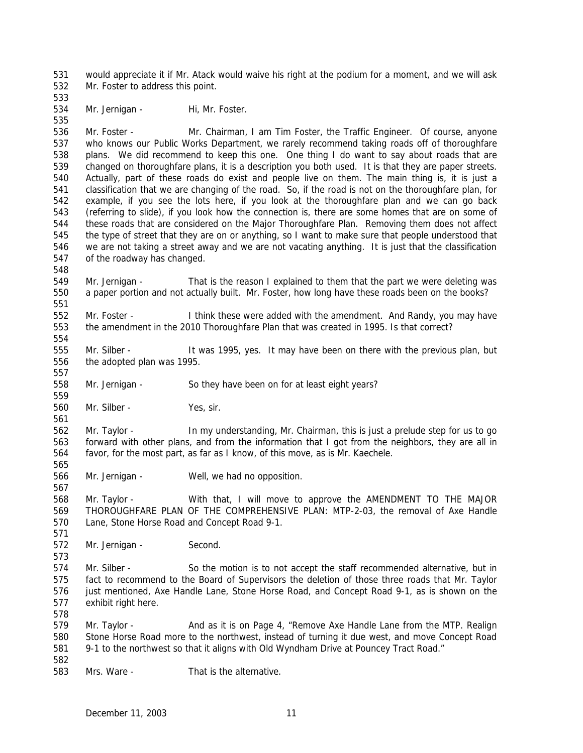would appreciate it if Mr. Atack would waive his right at the podium for a moment, and we will ask Mr. Foster to address this point.

534 Mr. Jernigan - Hi, Mr. Foster.

 Mr. Foster - Mr. Chairman, I am Tim Foster, the Traffic Engineer. Of course, anyone who knows our Public Works Department, we rarely recommend taking roads off of thoroughfare plans. We did recommend to keep this one. One thing I do want to say about roads that are changed on thoroughfare plans, it is a description you both used. It is that they are paper streets. Actually, part of these roads do exist and people live on them. The main thing is, it is just a classification that we are changing of the road. So, if the road is not on the thoroughfare plan, for example, if you see the lots here, if you look at the thoroughfare plan and we can go back (referring to slide), if you look how the connection is, there are some homes that are on some of these roads that are considered on the Major Thoroughfare Plan. Removing them does not affect the type of street that they are on or anything, so I want to make sure that people understood that we are not taking a street away and we are not vacating anything. It is just that the classification of the roadway has changed.

 Mr. Jernigan - That is the reason I explained to them that the part we were deleting was a paper portion and not actually built. Mr. Foster, how long have these roads been on the books?

 Mr. Foster - I think these were added with the amendment. And Randy, you may have the amendment in the 2010 Thoroughfare Plan that was created in 1995. Is that correct?

555 Mr. Silber - It was 1995, yes. It may have been on there with the previous plan, but the adopted plan was 1995.

Mr. Jernigan - So they have been on for at least eight years?

Mr. Silber - Yes, sir.

 Mr. Taylor - In my understanding, Mr. Chairman, this is just a prelude step for us to go forward with other plans, and from the information that I got from the neighbors, they are all in favor, for the most part, as far as I know, of this move, as is Mr. Kaechele. 

Mr. Jernigan - Well, we had no opposition.

 Mr. Taylor - With that, I will move to approve the AMENDMENT TO THE MAJOR THOROUGHFARE PLAN OF THE COMPREHENSIVE PLAN: MTP-2-03, the removal of Axe Handle Lane, Stone Horse Road and Concept Road 9-1.

 Mr. Jernigan - Second. 

 Mr. Silber - So the motion is to not accept the staff recommended alternative, but in fact to recommend to the Board of Supervisors the deletion of those three roads that Mr. Taylor just mentioned, Axe Handle Lane, Stone Horse Road, and Concept Road 9-1, as is shown on the exhibit right here.

579 Mr. Taylor - And as it is on Page 4, "Remove Axe Handle Lane from the MTP. Realign Stone Horse Road more to the northwest, instead of turning it due west, and move Concept Road 9-1 to the northwest so that it aligns with Old Wyndham Drive at Pouncey Tract Road." 

Mrs. Ware - That is the alternative.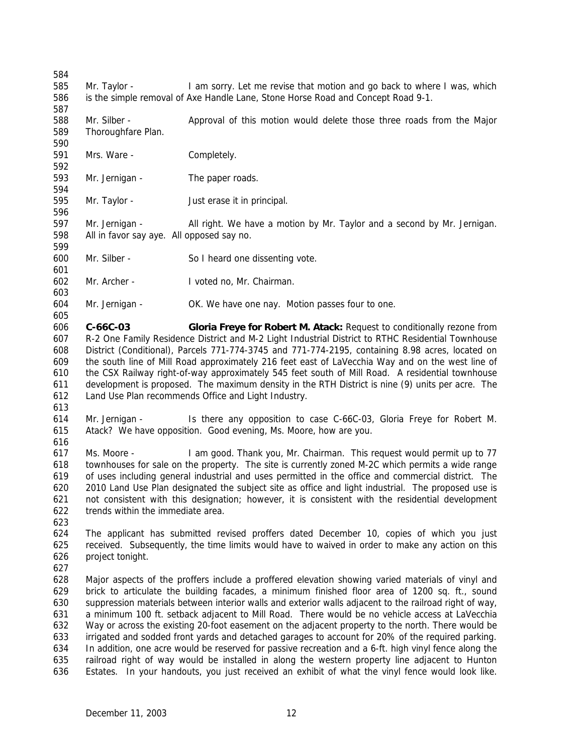- Mr. Taylor I am sorry. Let me revise that motion and go back to where I was, which is the simple removal of Axe Handle Lane, Stone Horse Road and Concept Road 9-1.
- 588 Mr. Silber Approval of this motion would delete those three roads from the Major Thoroughfare Plan.
- Mrs. Ware Completely.
- 593 Mr. Jernigan The paper roads.
- Mr. Taylor Just erase it in principal.
- Mr. Jernigan All right. We have a motion by Mr. Taylor and a second by Mr. Jernigan. All in favor say aye. All opposed say no.
- 

- Mr. Silber So I heard one dissenting vote.
- Mr. Archer I voted no, Mr. Chairman.
- Mr. Jernigan OK. We have one nay. Motion passes four to one.
- **C-66C-03 Gloria Freye for Robert M. Atack:** Request to conditionally rezone from R-2 One Family Residence District and M-2 Light Industrial District to RTHC Residential Townhouse District (Conditional), Parcels 771-774-3745 and 771-774-2195, containing 8.98 acres, located on the south line of Mill Road approximately 216 feet east of LaVecchia Way and on the west line of the CSX Railway right-of-way approximately 545 feet south of Mill Road. A residential townhouse development is proposed. The maximum density in the RTH District is nine (9) units per acre. The Land Use Plan recommends Office and Light Industry.
- 
- Mr. Jernigan Is there any opposition to case C-66C-03, Gloria Freye for Robert M. Atack? We have opposition. Good evening, Ms. Moore, how are you.
- 
- Ms. Moore I am good. Thank you, Mr. Chairman. This request would permit up to 77 townhouses for sale on the property. The site is currently zoned M-2C which permits a wide range of uses including general industrial and uses permitted in the office and commercial district. The 2010 Land Use Plan designated the subject site as office and light industrial. The proposed use is not consistent with this designation; however, it is consistent with the residential development trends within the immediate area.
- 
- The applicant has submitted revised proffers dated December 10, copies of which you just received. Subsequently, the time limits would have to waived in order to make any action on this project tonight.
- 
- Major aspects of the proffers include a proffered elevation showing varied materials of vinyl and brick to articulate the building facades, a minimum finished floor area of 1200 sq. ft., sound suppression materials between interior walls and exterior walls adjacent to the railroad right of way, a minimum 100 ft. setback adjacent to Mill Road. There would be no vehicle access at LaVecchia Way or across the existing 20-foot easement on the adjacent property to the north. There would be irrigated and sodded front yards and detached garages to account for 20% of the required parking. In addition, one acre would be reserved for passive recreation and a 6-ft. high vinyl fence along the railroad right of way would be installed in along the western property line adjacent to Hunton Estates. In your handouts, you just received an exhibit of what the vinyl fence would look like.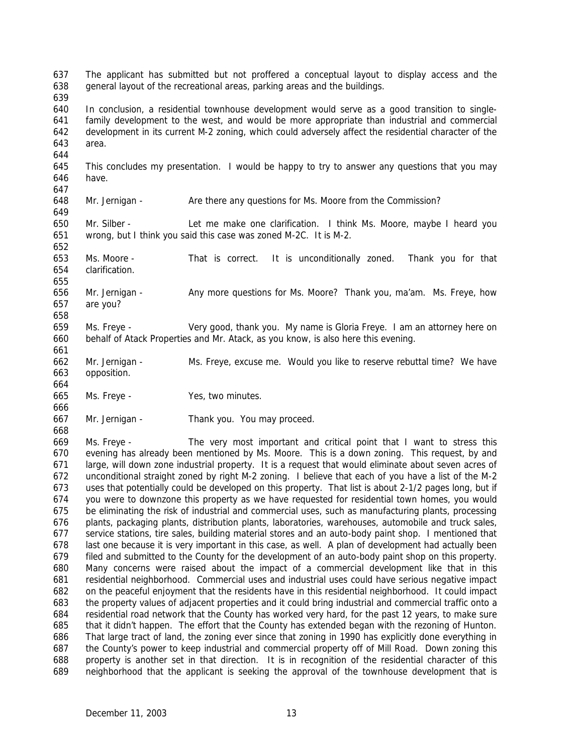In conclusion, a residential townhouse development would serve as a good transition to single- family development to the west, and would be more appropriate than industrial and commercial development in its current M-2 zoning, which could adversely affect the residential character of the area. This concludes my presentation. I would be happy to try to answer any questions that you may have. Mr. Jernigan - Are there any questions for Ms. Moore from the Commission? Mr. Silber - Let me make one clarification. I think Ms. Moore, maybe I heard you wrong, but I think you said this case was zoned M-2C. It is M-2. Ms. Moore - That is correct. It is unconditionally zoned. Thank you for that clarification. 656 Mr. Jernigan - Any more questions for Ms. Moore? Thank you, ma'am. Ms. Freye, how are you? Ms. Freye - Very good, thank you. My name is Gloria Freye. I am an attorney here on behalf of Atack Properties and Mr. Atack, as you know, is also here this evening. Mr. Jernigan - Ms. Freye, excuse me. Would you like to reserve rebuttal time? We have opposition. Ms. Freye - Yes, two minutes. Mr. Jernigan - Thank you. You may proceed. Ms. Freye - The very most important and critical point that I want to stress this evening has already been mentioned by Ms. Moore. This is a down zoning. This request, by and large, will down zone industrial property. It is a request that would eliminate about seven acres of unconditional straight zoned by right M-2 zoning. I believe that each of you have a list of the M-2 uses that potentially could be developed on this property. That list is about 2-1/2 pages long, but if you were to downzone this property as we have requested for residential town homes, you would be eliminating the risk of industrial and commercial uses, such as manufacturing plants, processing plants, packaging plants, distribution plants, laboratories, warehouses, automobile and truck sales, service stations, tire sales, building material stores and an auto-body paint shop. I mentioned that last one because it is very important in this case, as well. A plan of development had actually been filed and submitted to the County for the development of an auto-body paint shop on this property. Many concerns were raised about the impact of a commercial development like that in this residential neighborhood. Commercial uses and industrial uses could have serious negative impact on the peaceful enjoyment that the residents have in this residential neighborhood. It could impact the property values of adjacent properties and it could bring industrial and commercial traffic onto a residential road network that the County has worked very hard, for the past 12 years, to make sure that it didn't happen. The effort that the County has extended began with the rezoning of Hunton. That large tract of land, the zoning ever since that zoning in 1990 has explicitly done everything in

The applicant has submitted but not proffered a conceptual layout to display access and the

general layout of the recreational areas, parking areas and the buildings.

 the County's power to keep industrial and commercial property off of Mill Road. Down zoning this property is another set in that direction. It is in recognition of the residential character of this neighborhood that the applicant is seeking the approval of the townhouse development that is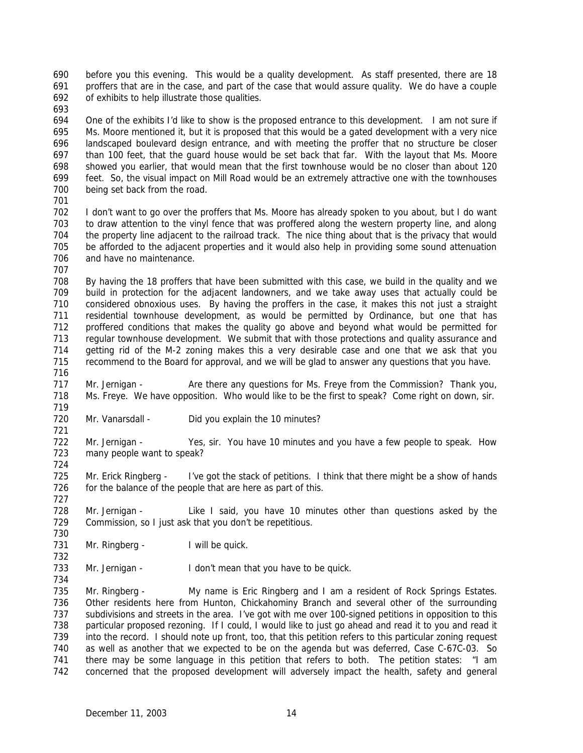before you this evening. This would be a quality development. As staff presented, there are 18 proffers that are in the case, and part of the case that would assure quality. We do have a couple of exhibits to help illustrate those qualities.

 One of the exhibits I'd like to show is the proposed entrance to this development. I am not sure if Ms. Moore mentioned it, but it is proposed that this would be a gated development with a very nice landscaped boulevard design entrance, and with meeting the proffer that no structure be closer than 100 feet, that the guard house would be set back that far. With the layout that Ms. Moore showed you earlier, that would mean that the first townhouse would be no closer than about 120 feet. So, the visual impact on Mill Road would be an extremely attractive one with the townhouses 700 being set back from the road.

 I don't want to go over the proffers that Ms. Moore has already spoken to you about, but I do want to draw attention to the vinyl fence that was proffered along the western property line, and along the property line adjacent to the railroad track. The nice thing about that is the privacy that would be afforded to the adjacent properties and it would also help in providing some sound attenuation and have no maintenance.

 By having the 18 proffers that have been submitted with this case, we build in the quality and we build in protection for the adjacent landowners, and we take away uses that actually could be considered obnoxious uses. By having the proffers in the case, it makes this not just a straight residential townhouse development, as would be permitted by Ordinance, but one that has proffered conditions that makes the quality go above and beyond what would be permitted for regular townhouse development. We submit that with those protections and quality assurance and getting rid of the M-2 zoning makes this a very desirable case and one that we ask that you recommend to the Board for approval, and we will be glad to answer any questions that you have. 

717 Mr. Jernigan - Are there any questions for Ms. Freye from the Commission? Thank you, Ms. Freye. We have opposition. Who would like to be the first to speak? Come right on down, sir. 

720 Mr. Vanarsdall - Did you explain the 10 minutes?

 Mr. Jernigan - Yes, sir. You have 10 minutes and you have a few people to speak. How many people want to speak? 

725 Mr. Erick Ringberg - I've got the stack of petitions. I think that there might be a show of hands 726 for the balance of the people that are here as part of this.

 Mr. Jernigan - Like I said, you have 10 minutes other than questions asked by the Commission, so I just ask that you don't be repetitious. 

731 Mr. Ringberg - I will be quick.

733 Mr. Jernigan - I don't mean that you have to be quick.

735 Mr. Ringberg - My name is Eric Ringberg and I am a resident of Rock Springs Estates. Other residents here from Hunton, Chickahominy Branch and several other of the surrounding subdivisions and streets in the area. I've got with me over 100-signed petitions in opposition to this particular proposed rezoning. If I could, I would like to just go ahead and read it to you and read it into the record. I should note up front, too, that this petition refers to this particular zoning request as well as another that we expected to be on the agenda but was deferred, Case C-67C-03. So there may be some language in this petition that refers to both. The petition states: "I am concerned that the proposed development will adversely impact the health, safety and general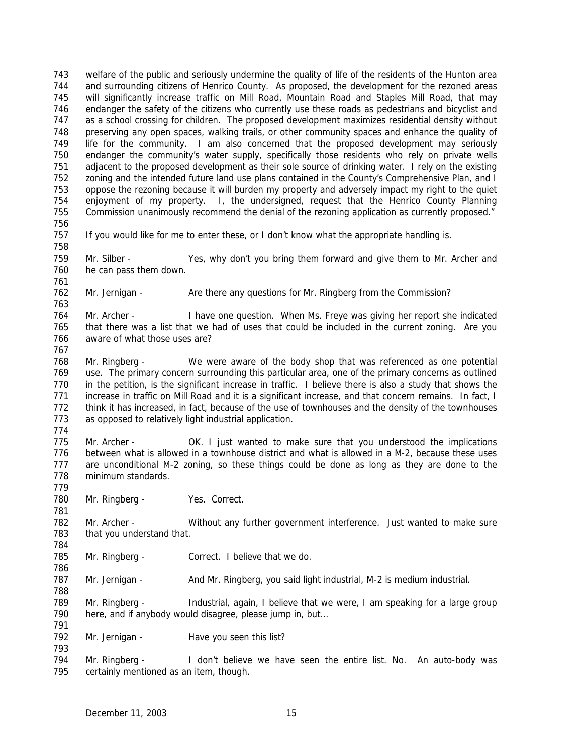welfare of the public and seriously undermine the quality of life of the residents of the Hunton area and surrounding citizens of Henrico County. As proposed, the development for the rezoned areas will significantly increase traffic on Mill Road, Mountain Road and Staples Mill Road, that may endanger the safety of the citizens who currently use these roads as pedestrians and bicyclist and as a school crossing for children. The proposed development maximizes residential density without preserving any open spaces, walking trails, or other community spaces and enhance the quality of life for the community. I am also concerned that the proposed development may seriously endanger the community's water supply, specifically those residents who rely on private wells adjacent to the proposed development as their sole source of drinking water. I rely on the existing zoning and the intended future land use plans contained in the County's Comprehensive Plan, and I oppose the rezoning because it will burden my property and adversely impact my right to the quiet enjoyment of my property. I, the undersigned, request that the Henrico County Planning Commission unanimously recommend the denial of the rezoning application as currently proposed." If you would like for me to enter these, or I don't know what the appropriate handling is. Mr. Silber - Yes, why don't you bring them forward and give them to Mr. Archer and he can pass them down. 762 Mr. Jernigan - Are there any questions for Mr. Ringberg from the Commission? Mr. Archer - I have one question. When Ms. Freye was giving her report she indicated that there was a list that we had of uses that could be included in the current zoning. Are you aware of what those uses are? Mr. Ringberg - We were aware of the body shop that was referenced as one potential use. The primary concern surrounding this particular area, one of the primary concerns as outlined in the petition, is the significant increase in traffic. I believe there is also a study that shows the increase in traffic on Mill Road and it is a significant increase, and that concern remains. In fact, I think it has increased, in fact, because of the use of townhouses and the density of the townhouses as opposed to relatively light industrial application. Mr. Archer - OK. I just wanted to make sure that you understood the implications between what is allowed in a townhouse district and what is allowed in a M-2, because these uses are unconditional M-2 zoning, so these things could be done as long as they are done to the minimum standards. 780 Mr. Ringberg - Yes. Correct. Mr. Archer - Without any further government interference. Just wanted to make sure that you understand that. Mr. Ringberg - Correct. I believe that we do. 787 Mr. Jernigan - And Mr. Ringberg, you said light industrial, M-2 is medium industrial. Mr. Ringberg - Industrial, again, I believe that we were, I am speaking for a large group here, and if anybody would disagree, please jump in, but… 792 Mr. Jernigan - Have you seen this list? Mr. Ringberg - I don't believe we have seen the entire list. No. An auto-body was certainly mentioned as an item, though.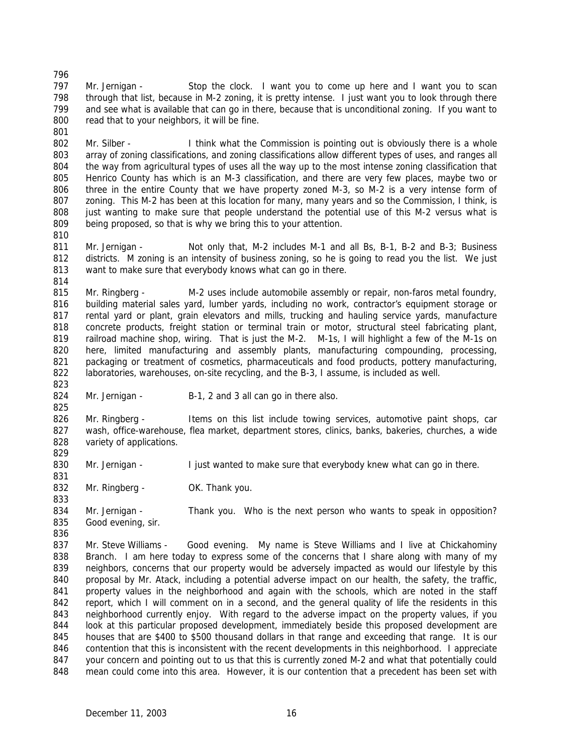797 Mr. Jernigan - Stop the clock. I want you to come up here and I want you to scan through that list, because in M-2 zoning, it is pretty intense. I just want you to look through there and see what is available that can go in there, because that is unconditional zoning. If you want to 800 read that to your neighbors, it will be fine. 

802 Mr. Silber - I think what the Commission is pointing out is obviously there is a whole array of zoning classifications, and zoning classifications allow different types of uses, and ranges all the way from agricultural types of uses all the way up to the most intense zoning classification that Henrico County has which is an M-3 classification, and there are very few places, maybe two or three in the entire County that we have property zoned M-3, so M-2 is a very intense form of zoning. This M-2 has been at this location for many, many years and so the Commission, I think, is just wanting to make sure that people understand the potential use of this M-2 versus what is being proposed, so that is why we bring this to your attention. 

 Mr. Jernigan - Not only that, M-2 includes M-1 and all Bs, B-1, B-2 and B-3; Business 812 districts. M zoning is an intensity of business zoning, so he is going to read you the list. We just want to make sure that everybody knows what can go in there.

815 Mr. Ringberg - M-2 uses include automobile assembly or repair, non-faros metal foundry, building material sales yard, lumber yards, including no work, contractor's equipment storage or rental yard or plant, grain elevators and mills, trucking and hauling service yards, manufacture concrete products, freight station or terminal train or motor, structural steel fabricating plant, railroad machine shop, wiring. That is just the M-2. M-1s, I will highlight a few of the M-1s on here, limited manufacturing and assembly plants, manufacturing compounding, processing, packaging or treatment of cosmetics, pharmaceuticals and food products, pottery manufacturing, laboratories, warehouses, on-site recycling, and the B-3, I assume, is included as well.

824 Mr. Jernigan - B-1, 2 and 3 all can go in there also.

 Mr. Ringberg - Items on this list include towing services, automotive paint shops, car wash, office-warehouse, flea market, department stores, clinics, banks, bakeries, churches, a wide 828 variety of applications.

830 Mr. Jernigan - I just wanted to make sure that everybody knew what can go in there.

832 Mr. Ringberg - OK. Thank you.

 Mr. Jernigan - Thank you. Who is the next person who wants to speak in opposition? Good evening, sir.

 Mr. Steve Williams - Good evening. My name is Steve Williams and I live at Chickahominy Branch. I am here today to express some of the concerns that I share along with many of my 839 neighbors, concerns that our property would be adversely impacted as would our lifestyle by this proposal by Mr. Atack, including a potential adverse impact on our health, the safety, the traffic, 841 property values in the neighborhood and again with the schools, which are noted in the staff report, which I will comment on in a second, and the general quality of life the residents in this neighborhood currently enjoy. With regard to the adverse impact on the property values, if you look at this particular proposed development, immediately beside this proposed development are houses that are \$400 to \$500 thousand dollars in that range and exceeding that range. It is our contention that this is inconsistent with the recent developments in this neighborhood. I appreciate 847 your concern and pointing out to us that this is currently zoned M-2 and what that potentially could mean could come into this area. However, it is our contention that a precedent has been set with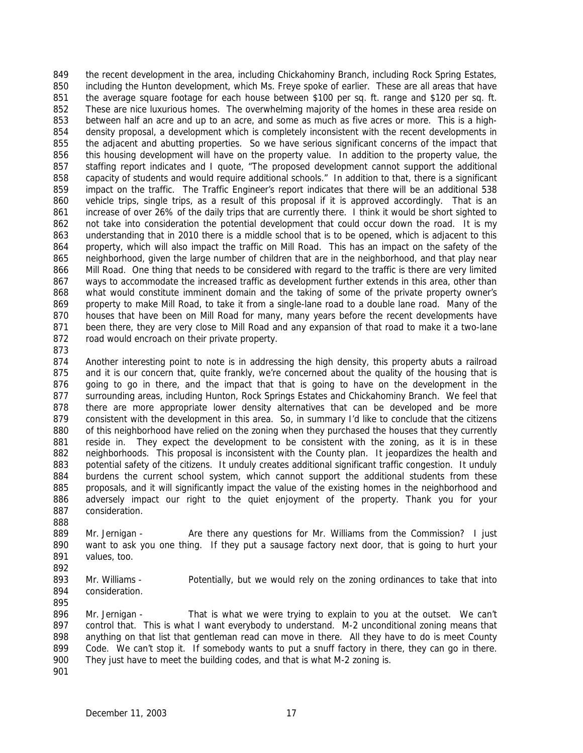the recent development in the area, including Chickahominy Branch, including Rock Spring Estates, including the Hunton development, which Ms. Freye spoke of earlier. These are all areas that have the average square footage for each house between \$100 per sq. ft. range and \$120 per sq. ft. 852 These are nice luxurious homes. The overwhelming majority of the homes in these area reside on between half an acre and up to an acre, and some as much as five acres or more. This is a high- density proposal, a development which is completely inconsistent with the recent developments in the adjacent and abutting properties. So we have serious significant concerns of the impact that this housing development will have on the property value. In addition to the property value, the staffing report indicates and I quote, "The proposed development cannot support the additional capacity of students and would require additional schools." In addition to that, there is a significant impact on the traffic. The Traffic Engineer's report indicates that there will be an additional 538 vehicle trips, single trips, as a result of this proposal if it is approved accordingly. That is an increase of over 26% of the daily trips that are currently there. I think it would be short sighted to not take into consideration the potential development that could occur down the road. It is my understanding that in 2010 there is a middle school that is to be opened, which is adjacent to this property, which will also impact the traffic on Mill Road. This has an impact on the safety of the neighborhood, given the large number of children that are in the neighborhood, and that play near Mill Road. One thing that needs to be considered with regard to the traffic is there are very limited ways to accommodate the increased traffic as development further extends in this area, other than 868 what would constitute imminent domain and the taking of some of the private property owner's property to make Mill Road, to take it from a single-lane road to a double lane road. Many of the houses that have been on Mill Road for many, many years before the recent developments have been there, they are very close to Mill Road and any expansion of that road to make it a two-lane 872 road would encroach on their private property.

 Another interesting point to note is in addressing the high density, this property abuts a railroad 875 and it is our concern that, quite frankly, we're concerned about the quality of the housing that is going to go in there, and the impact that that is going to have on the development in the surrounding areas, including Hunton, Rock Springs Estates and Chickahominy Branch. We feel that there are more appropriate lower density alternatives that can be developed and be more consistent with the development in this area. So, in summary I'd like to conclude that the citizens of this neighborhood have relied on the zoning when they purchased the houses that they currently 881 reside in. They expect the development to be consistent with the zoning, as it is in these 882 neighborhoods. This proposal is inconsistent with the County plan. It jeopardizes the health and potential safety of the citizens. It unduly creates additional significant traffic congestion. It unduly 884 burdens the current school system, which cannot support the additional students from these proposals, and it will significantly impact the value of the existing homes in the neighborhood and adversely impact our right to the quiet enjoyment of the property. Thank you for your consideration.

889 Mr. Jernigan - Are there any questions for Mr. Williams from the Commission? I just want to ask you one thing. If they put a sausage factory next door, that is going to hurt your values, too.

893 Mr. Williams - Potentially, but we would rely on the zoning ordinances to take that into consideration.

 Mr. Jernigan - That is what we were trying to explain to you at the outset. We can't control that. This is what I want everybody to understand. M-2 unconditional zoning means that anything on that list that gentleman read can move in there. All they have to do is meet County 899 Code. We can't stop it. If somebody wants to put a snuff factory in there, they can go in there. They just have to meet the building codes, and that is what M-2 zoning is.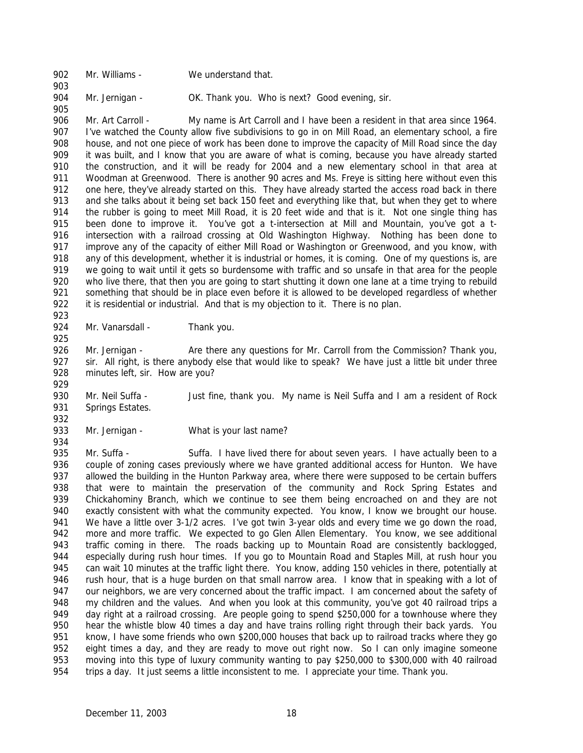902 Mr. Williams - We understand that.

904 Mr. Jernigan - OK. Thank you. Who is next? Good evening, sir.

 Mr. Art Carroll - My name is Art Carroll and I have been a resident in that area since 1964. I've watched the County allow five subdivisions to go in on Mill Road, an elementary school, a fire house, and not one piece of work has been done to improve the capacity of Mill Road since the day it was built, and I know that you are aware of what is coming, because you have already started the construction, and it will be ready for 2004 and a new elementary school in that area at 911 Woodman at Greenwood. There is another 90 acres and Ms. Freye is sitting here without even this 912 one here, they've already started on this. They have already started the access road back in there and she talks about it being set back 150 feet and everything like that, but when they get to where 914 the rubber is going to meet Mill Road, it is 20 feet wide and that is it. Not one single thing has been done to improve it. You've got a t-intersection at Mill and Mountain, you've got a t-916 intersection with a railroad crossing at Old Washington Highway. Nothing has been done to 917 improve any of the capacity of either Mill Road or Washington or Greenwood, and you know, with any of this development, whether it is industrial or homes, it is coming. One of my questions is, are we going to wait until it gets so burdensome with traffic and so unsafe in that area for the people who live there, that then you are going to start shutting it down one lane at a time trying to rebuild 921 something that should be in place even before it is allowed to be developed regardless of whether it is residential or industrial. And that is my objection to it. There is no plan. 

924 Mr. Vanarsdall - Thank you.

926 Mr. Jernigan - Are there any questions for Mr. Carroll from the Commission? Thank you, sir. All right, is there anybody else that would like to speak? We have just a little bit under three minutes left, sir. How are you?

 Mr. Neil Suffa - Just fine, thank you. My name is Neil Suffa and I am a resident of Rock Springs Estates.

933 Mr. Jernigan - What is your last name?

935 Mr. Suffa - Suffa. I have lived there for about seven years. I have actually been to a couple of zoning cases previously where we have granted additional access for Hunton. We have 937 allowed the building in the Hunton Parkway area, where there were supposed to be certain buffers that were to maintain the preservation of the community and Rock Spring Estates and Chickahominy Branch, which we continue to see them being encroached on and they are not exactly consistent with what the community expected. You know, I know we brought our house. 941 We have a little over 3-1/2 acres. I've got twin 3-year olds and every time we go down the road, 942 more and more traffic. We expected to go Glen Allen Elementary. You know, we see additional traffic coming in there. The roads backing up to Mountain Road are consistently backlogged, especially during rush hour times. If you go to Mountain Road and Staples Mill, at rush hour you can wait 10 minutes at the traffic light there. You know, adding 150 vehicles in there, potentially at 946 rush hour, that is a huge burden on that small narrow area. I know that in speaking with a lot of our neighbors, we are very concerned about the traffic impact. I am concerned about the safety of my children and the values. And when you look at this community, you've got 40 railroad trips a day right at a railroad crossing. Are people going to spend \$250,000 for a townhouse where they hear the whistle blow 40 times a day and have trains rolling right through their back yards. You know, I have some friends who own \$200,000 houses that back up to railroad tracks where they go 952 eight times a day, and they are ready to move out right now. So I can only imagine someone moving into this type of luxury community wanting to pay \$250,000 to \$300,000 with 40 railroad trips a day. It just seems a little inconsistent to me. I appreciate your time. Thank you.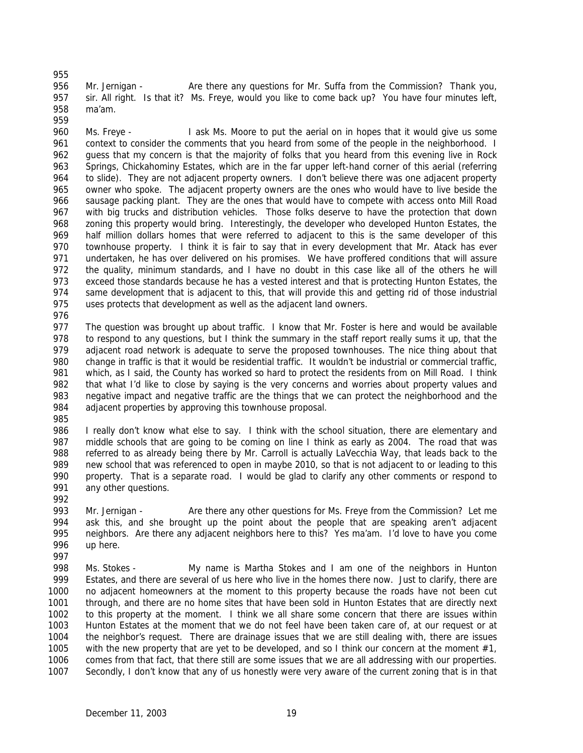956 Mr. Jernigan - Are there any questions for Mr. Suffa from the Commission? Thank you, sir. All right. Is that it? Ms. Freye, would you like to come back up? You have four minutes left, ma'am.

 Ms. Freye - I ask Ms. Moore to put the aerial on in hopes that it would give us some 961 context to consider the comments that you heard from some of the people in the neighborhood. I guess that my concern is that the majority of folks that you heard from this evening live in Rock Springs, Chickahominy Estates, which are in the far upper left-hand corner of this aerial (referring to slide). They are not adjacent property owners. I don't believe there was one adjacent property owner who spoke. The adjacent property owners are the ones who would have to live beside the sausage packing plant. They are the ones that would have to compete with access onto Mill Road with big trucks and distribution vehicles. Those folks deserve to have the protection that down zoning this property would bring. Interestingly, the developer who developed Hunton Estates, the half million dollars homes that were referred to adjacent to this is the same developer of this townhouse property. I think it is fair to say that in every development that Mr. Atack has ever undertaken, he has over delivered on his promises. We have proffered conditions that will assure the quality, minimum standards, and I have no doubt in this case like all of the others he will exceed those standards because he has a vested interest and that is protecting Hunton Estates, the 974 same development that is adjacent to this, that will provide this and getting rid of those industrial uses protects that development as well as the adjacent land owners.

977 The question was brought up about traffic. I know that Mr. Foster is here and would be available to respond to any questions, but I think the summary in the staff report really sums it up, that the 979 adjacent road network is adequate to serve the proposed townhouses. The nice thing about that change in traffic is that it would be residential traffic. It wouldn't be industrial or commercial traffic, 981 which, as I said, the County has worked so hard to protect the residents from on Mill Road. I think that what I'd like to close by saying is the very concerns and worries about property values and negative impact and negative traffic are the things that we can protect the neighborhood and the adjacent properties by approving this townhouse proposal.

986 I really don't know what else to say. I think with the school situation, there are elementary and 987 middle schools that are going to be coming on line I think as early as 2004. The road that was referred to as already being there by Mr. Carroll is actually LaVecchia Way, that leads back to the new school that was referenced to open in maybe 2010, so that is not adjacent to or leading to this property. That is a separate road. I would be glad to clarify any other comments or respond to any other questions. 

- Mr. Jernigan Are there any other questions for Ms. Freye from the Commission? Let me ask this, and she brought up the point about the people that are speaking aren't adjacent neighbors. Are there any adjacent neighbors here to this? Yes ma'am. I'd love to have you come up here.
- 
- Ms. Stokes My name is Martha Stokes and I am one of the neighbors in Hunton Estates, and there are several of us here who live in the homes there now. Just to clarify, there are no adjacent homeowners at the moment to this property because the roads have not been cut through, and there are no home sites that have been sold in Hunton Estates that are directly next to this property at the moment. I think we all share some concern that there are issues within Hunton Estates at the moment that we do not feel have been taken care of, at our request or at the neighbor's request. There are drainage issues that we are still dealing with, there are issues with the new property that are yet to be developed, and so I think our concern at the moment #1, comes from that fact, that there still are some issues that we are all addressing with our properties. Secondly, I don't know that any of us honestly were very aware of the current zoning that is in that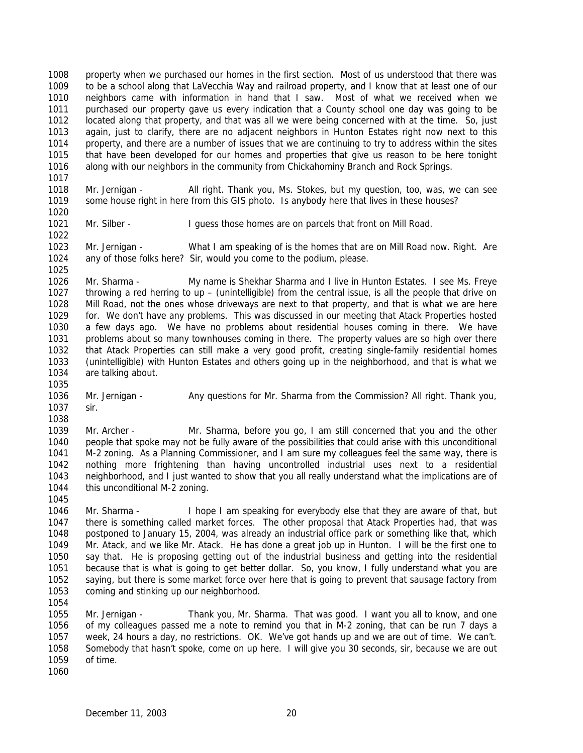property when we purchased our homes in the first section. Most of us understood that there was to be a school along that LaVecchia Way and railroad property, and I know that at least one of our neighbors came with information in hand that I saw. Most of what we received when we purchased our property gave us every indication that a County school one day was going to be located along that property, and that was all we were being concerned with at the time. So, just again, just to clarify, there are no adjacent neighbors in Hunton Estates right now next to this property, and there are a number of issues that we are continuing to try to address within the sites that have been developed for our homes and properties that give us reason to be here tonight along with our neighbors in the community from Chickahominy Branch and Rock Springs.

 Mr. Jernigan - All right. Thank you, Ms. Stokes, but my question, too, was, we can see some house right in here from this GIS photo. Is anybody here that lives in these houses?

1021 Mr. Silber - I guess those homes are on parcels that front on Mill Road. 

 Mr. Jernigan - What I am speaking of is the homes that are on Mill Road now. Right. Are any of those folks here? Sir, would you come to the podium, please. 

 Mr. Sharma - My name is Shekhar Sharma and I live in Hunton Estates. I see Ms. Freye throwing a red herring to up – (unintelligible) from the central issue, is all the people that drive on Mill Road, not the ones whose driveways are next to that property, and that is what we are here for. We don't have any problems. This was discussed in our meeting that Atack Properties hosted a few days ago. We have no problems about residential houses coming in there. We have problems about so many townhouses coming in there. The property values are so high over there that Atack Properties can still make a very good profit, creating single-family residential homes (unintelligible) with Hunton Estates and others going up in the neighborhood, and that is what we are talking about.

1036 Mr. Jernigan - Any questions for Mr. Sharma from the Commission? All right. Thank you, sir.

 Mr. Archer - Mr. Sharma, before you go, I am still concerned that you and the other 1040 people that spoke may not be fully aware of the possibilities that could arise with this unconditional M-2 zoning. As a Planning Commissioner, and I am sure my colleagues feel the same way, there is nothing more frightening than having uncontrolled industrial uses next to a residential neighborhood, and I just wanted to show that you all really understand what the implications are of this unconditional M-2 zoning.

 Mr. Sharma - I hope I am speaking for everybody else that they are aware of that, but there is something called market forces. The other proposal that Atack Properties had, that was postponed to January 15, 2004, was already an industrial office park or something like that, which Mr. Atack, and we like Mr. Atack. He has done a great job up in Hunton. I will be the first one to say that. He is proposing getting out of the industrial business and getting into the residential because that is what is going to get better dollar. So, you know, I fully understand what you are saying, but there is some market force over here that is going to prevent that sausage factory from coming and stinking up our neighborhood.

 Mr. Jernigan - Thank you, Mr. Sharma. That was good. I want you all to know, and one of my colleagues passed me a note to remind you that in M-2 zoning, that can be run 7 days a week, 24 hours a day, no restrictions. OK. We've got hands up and we are out of time. We can't. Somebody that hasn't spoke, come on up here. I will give you 30 seconds, sir, because we are out of time.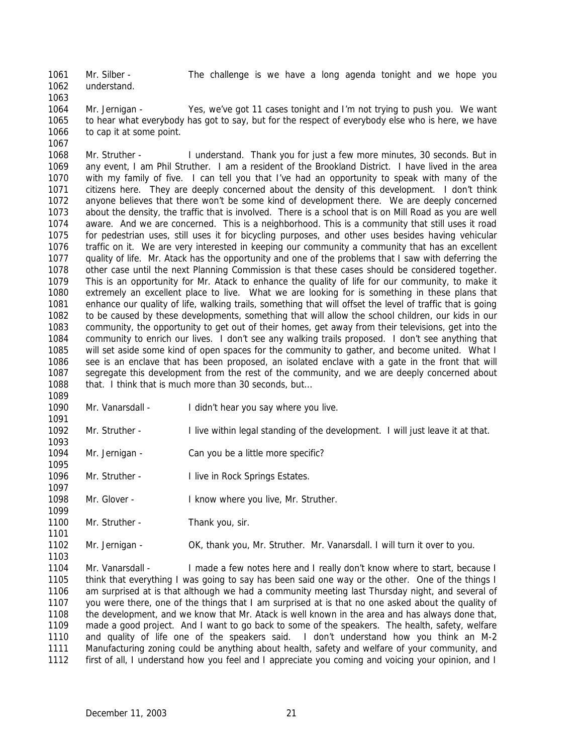Mr. Silber - The challenge is we have a long agenda tonight and we hope you understand.

 Mr. Jernigan - Yes, we've got 11 cases tonight and I'm not trying to push you. We want to hear what everybody has got to say, but for the respect of everybody else who is here, we have 1066 to cap it at some point. 

- Mr. Struther I understand. Thank you for just a few more minutes, 30 seconds. But in any event, I am Phil Struther. I am a resident of the Brookland District. I have lived in the area with my family of five. I can tell you that I've had an opportunity to speak with many of the citizens here. They are deeply concerned about the density of this development. I don't think anyone believes that there won't be some kind of development there. We are deeply concerned about the density, the traffic that is involved. There is a school that is on Mill Road as you are well aware. And we are concerned. This is a neighborhood. This is a community that still uses it road for pedestrian uses, still uses it for bicycling purposes, and other uses besides having vehicular traffic on it. We are very interested in keeping our community a community that has an excellent quality of life. Mr. Atack has the opportunity and one of the problems that I saw with deferring the other case until the next Planning Commission is that these cases should be considered together. This is an opportunity for Mr. Atack to enhance the quality of life for our community, to make it extremely an excellent place to live. What we are looking for is something in these plans that enhance our quality of life, walking trails, something that will offset the level of traffic that is going to be caused by these developments, something that will allow the school children, our kids in our community, the opportunity to get out of their homes, get away from their televisions, get into the community to enrich our lives. I don't see any walking trails proposed. I don't see anything that will set aside some kind of open spaces for the community to gather, and become united. What I see is an enclave that has been proposed, an isolated enclave with a gate in the front that will segregate this development from the rest of the community, and we are deeply concerned about 1088 that. I think that is much more than 30 seconds, but...
- 

- 1090 Mr. Vanarsdall I didn't hear you say where you live.
- Mr. Struther I live within legal standing of the development. I will just leave it at that.
- Mr. Jernigan Can you be a little more specific?
- 1096 Mr. Struther I live in Rock Springs Estates.
- 1098 Mr. Glover I know where you live, Mr. Struther.
- 1100 Mr. Struther Thank you, sir.
- Mr. Jernigan OK, thank you, Mr. Struther. Mr. Vanarsdall. I will turn it over to you.

 Mr. Vanarsdall - I made a few notes here and I really don't know where to start, because I think that everything I was going to say has been said one way or the other. One of the things I am surprised at is that although we had a community meeting last Thursday night, and several of you were there, one of the things that I am surprised at is that no one asked about the quality of the development, and we know that Mr. Atack is well known in the area and has always done that, made a good project. And I want to go back to some of the speakers. The health, safety, welfare and quality of life one of the speakers said. I don't understand how you think an M-2 Manufacturing zoning could be anything about health, safety and welfare of your community, and first of all, I understand how you feel and I appreciate you coming and voicing your opinion, and I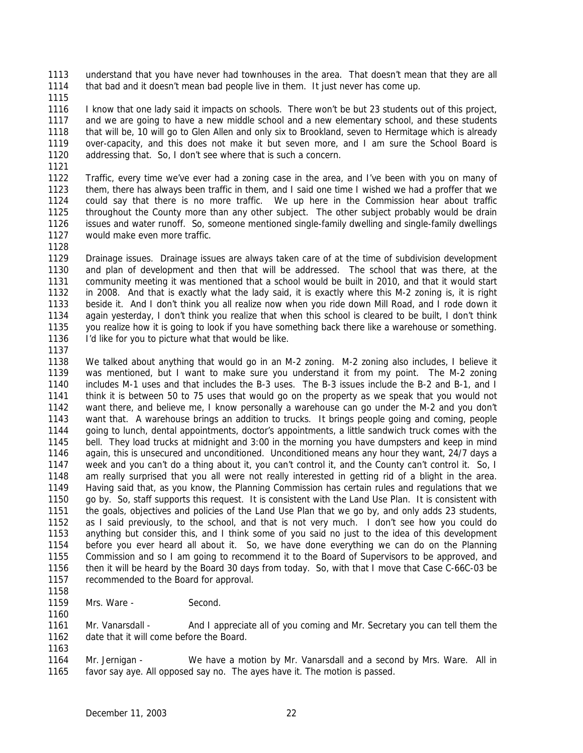understand that you have never had townhouses in the area. That doesn't mean that they are all that bad and it doesn't mean bad people live in them. It just never has come up.

 I know that one lady said it impacts on schools. There won't be but 23 students out of this project, and we are going to have a new middle school and a new elementary school, and these students that will be, 10 will go to Glen Allen and only six to Brookland, seven to Hermitage which is already over-capacity, and this does not make it but seven more, and I am sure the School Board is addressing that. So, I don't see where that is such a concern.

 Traffic, every time we've ever had a zoning case in the area, and I've been with you on many of them, there has always been traffic in them, and I said one time I wished we had a proffer that we could say that there is no more traffic. We up here in the Commission hear about traffic throughout the County more than any other subject. The other subject probably would be drain issues and water runoff. So, someone mentioned single-family dwelling and single-family dwellings would make even more traffic.

 Drainage issues. Drainage issues are always taken care of at the time of subdivision development and plan of development and then that will be addressed. The school that was there, at the community meeting it was mentioned that a school would be built in 2010, and that it would start in 2008. And that is exactly what the lady said, it is exactly where this M-2 zoning is, it is right beside it. And I don't think you all realize now when you ride down Mill Road, and I rode down it again yesterday, I don't think you realize that when this school is cleared to be built, I don't think you realize how it is going to look if you have something back there like a warehouse or something. I'd like for you to picture what that would be like.

 We talked about anything that would go in an M-2 zoning. M-2 zoning also includes, I believe it was mentioned, but I want to make sure you understand it from my point. The M-2 zoning includes M-1 uses and that includes the B-3 uses. The B-3 issues include the B-2 and B-1, and I think it is between 50 to 75 uses that would go on the property as we speak that you would not want there, and believe me, I know personally a warehouse can go under the M-2 and you don't want that. A warehouse brings an addition to trucks. It brings people going and coming, people going to lunch, dental appointments, doctor's appointments, a little sandwich truck comes with the bell. They load trucks at midnight and 3:00 in the morning you have dumpsters and keep in mind again, this is unsecured and unconditioned. Unconditioned means any hour they want, 24/7 days a week and you can't do a thing about it, you can't control it, and the County can't control it. So, I am really surprised that you all were not really interested in getting rid of a blight in the area. Having said that, as you know, the Planning Commission has certain rules and regulations that we go by. So, staff supports this request. It is consistent with the Land Use Plan. It is consistent with the goals, objectives and policies of the Land Use Plan that we go by, and only adds 23 students, as I said previously, to the school, and that is not very much. I don't see how you could do anything but consider this, and I think some of you said no just to the idea of this development before you ever heard all about it. So, we have done everything we can do on the Planning Commission and so I am going to recommend it to the Board of Supervisors to be approved, and then it will be heard by the Board 30 days from today. So, with that I move that Case C-66C-03 be 1157 recommended to the Board for approval.

1159 Mrs. Ware - Second.

1161 Mr. Vanarsdall - And I appreciate all of you coming and Mr. Secretary you can tell them the 1162 date that it will come before the Board. date that it will come before the Board.

 Mr. Jernigan - We have a motion by Mr. Vanarsdall and a second by Mrs. Ware. All in favor say aye. All opposed say no. The ayes have it. The motion is passed.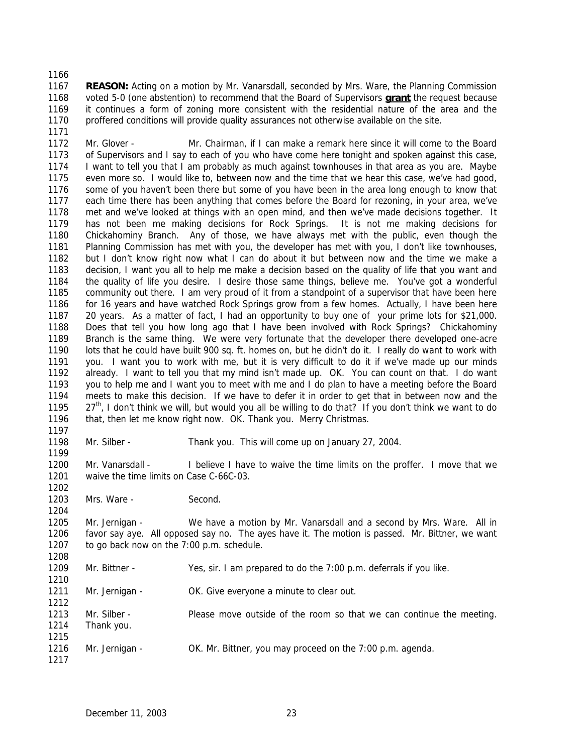### 

 **REASON:** Acting on a motion by Mr. Vanarsdall, seconded by Mrs. Ware, the Planning Commission voted 5-0 (one abstention) to recommend that the Board of Supervisors **grant** the request because it continues a form of zoning more consistent with the residential nature of the area and the proffered conditions will provide quality assurances not otherwise available on the site.

 Mr. Glover - Mr. Chairman, if I can make a remark here since it will come to the Board of Supervisors and I say to each of you who have come here tonight and spoken against this case, I want to tell you that I am probably as much against townhouses in that area as you are. Maybe even more so. I would like to, between now and the time that we hear this case, we've had good, some of you haven't been there but some of you have been in the area long enough to know that each time there has been anything that comes before the Board for rezoning, in your area, we've met and we've looked at things with an open mind, and then we've made decisions together. It has not been me making decisions for Rock Springs. It is not me making decisions for Chickahominy Branch. Any of those, we have always met with the public, even though the Planning Commission has met with you, the developer has met with you, I don't like townhouses, but I don't know right now what I can do about it but between now and the time we make a decision, I want you all to help me make a decision based on the quality of life that you want and the quality of life you desire. I desire those same things, believe me. You've got a wonderful community out there. I am very proud of it from a standpoint of a supervisor that have been here for 16 years and have watched Rock Springs grow from a few homes. Actually, I have been here 20 years. As a matter of fact, I had an opportunity to buy one of your prime lots for \$21,000. Does that tell you how long ago that I have been involved with Rock Springs? Chickahominy Branch is the same thing. We were very fortunate that the developer there developed one-acre lots that he could have built 900 sq. ft. homes on, but he didn't do it. I really do want to work with you. I want you to work with me, but it is very difficult to do it if we've made up our minds already. I want to tell you that my mind isn't made up. OK. You can count on that. I do want you to help me and I want you to meet with me and I do plan to have a meeting before the Board meets to make this decision. If we have to defer it in order to get that in between now and the  $27<sup>th</sup>$ , I don't think we will, but would you all be willing to do that? If you don't think we want to do 1196 that, then let me know right now. OK. Thank you. Merry Christmas.

Mr. Silber - Thank you. This will come up on January 27, 2004.

1200 Mr. Vanarsdall - I believe I have to waive the time limits on the proffer. I move that we waive the time limits on Case C-66C-03. 

1203 Mrs. Ware - Second.

 Mr. Jernigan - We have a motion by Mr. Vanarsdall and a second by Mrs. Ware. All in favor say aye. All opposed say no. The ayes have it. The motion is passed. Mr. Bittner, we want to go back now on the 7:00 p.m. schedule. 

 Mr. Bittner - Yes, sir. I am prepared to do the 7:00 p.m. deferrals if you like. 

1211 Mr. Jernigan - OK. Give everyone a minute to clear out.

 Mr. Silber - Please move outside of the room so that we can continue the meeting. Thank you. 

 Mr. Jernigan - OK. Mr. Bittner, you may proceed on the 7:00 p.m. agenda.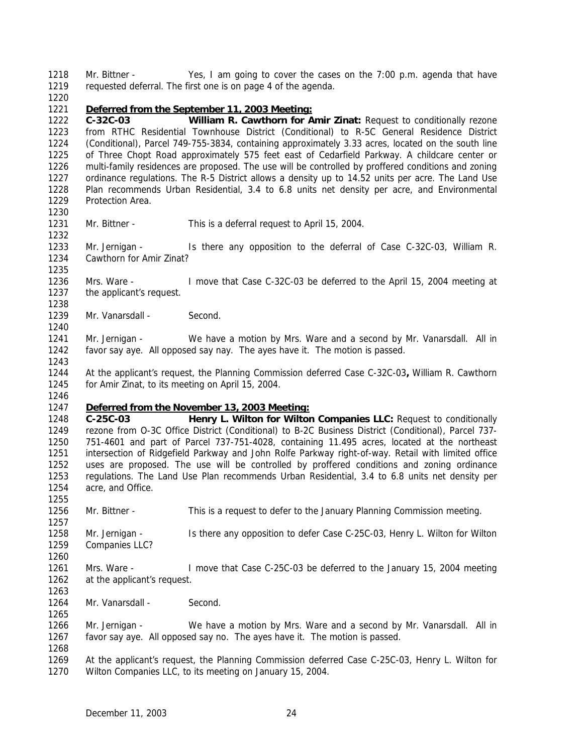Mr. Bittner - Yes, I am going to cover the cases on the 7:00 p.m. agenda that have requested deferral. The first one is on page 4 of the agenda.

### *Deferred from the September 11, 2003 Meeting:*

 **C-32C-03 William R. Cawthorn for Amir Zinat:** Request to conditionally rezone from RTHC Residential Townhouse District (Conditional) to R-5C General Residence District (Conditional), Parcel 749-755-3834, containing approximately 3.33 acres, located on the south line of Three Chopt Road approximately 575 feet east of Cedarfield Parkway. A childcare center or multi-family residences are proposed. The use will be controlled by proffered conditions and zoning ordinance regulations. The R-5 District allows a density up to 14.52 units per acre. The Land Use Plan recommends Urban Residential, 3.4 to 6.8 units net density per acre, and Environmental Protection Area.

Mr. Bittner - This is a deferral request to April 15, 2004.

 Mr. Jernigan - Is there any opposition to the deferral of Case C-32C-03, William R. Cawthorn for Amir Zinat?

 Mrs. Ware - I move that Case C-32C-03 be deferred to the April 15, 2004 meeting at the applicant's request.

- 1239 Mr. Vanarsdall Second.
- Mr. Jernigan We have a motion by Mrs. Ware and a second by Mr. Vanarsdall. All in favor say aye. All opposed say nay. The ayes have it. The motion is passed.

 At the applicant's request, the Planning Commission deferred Case C-32C-03**,** William R. Cawthorn for Amir Zinat, to its meeting on April 15, 2004.

## *Deferred from the November 13, 2003 Meeting:*

 **C-25C-03 Henry L. Wilton for Wilton Companies LLC:** Request to conditionally rezone from O-3C Office District (Conditional) to B-2C Business District (Conditional), Parcel 737- 751-4601 and part of Parcel 737-751-4028, containing 11.495 acres, located at the northeast intersection of Ridgefield Parkway and John Rolfe Parkway right-of-way. Retail with limited office uses are proposed. The use will be controlled by proffered conditions and zoning ordinance regulations. The Land Use Plan recommends Urban Residential, 3.4 to 6.8 units net density per acre, and Office.

Mr. Bittner - This is a request to defer to the January Planning Commission meeting.

 Mr. Jernigan - Is there any opposition to defer Case C-25C-03, Henry L. Wilton for Wilton Companies LLC?

 Mrs. Ware - I move that Case C-25C-03 be deferred to the January 15, 2004 meeting at the applicant's request. 

1264 Mr. Vanarsdall - Second.

 Mr. Jernigan - We have a motion by Mrs. Ware and a second by Mr. Vanarsdall. All in favor say aye. All opposed say no. The ayes have it. The motion is passed. 

 At the applicant's request, the Planning Commission deferred Case C-25C-03, Henry L. Wilton for Wilton Companies LLC, to its meeting on January 15, 2004.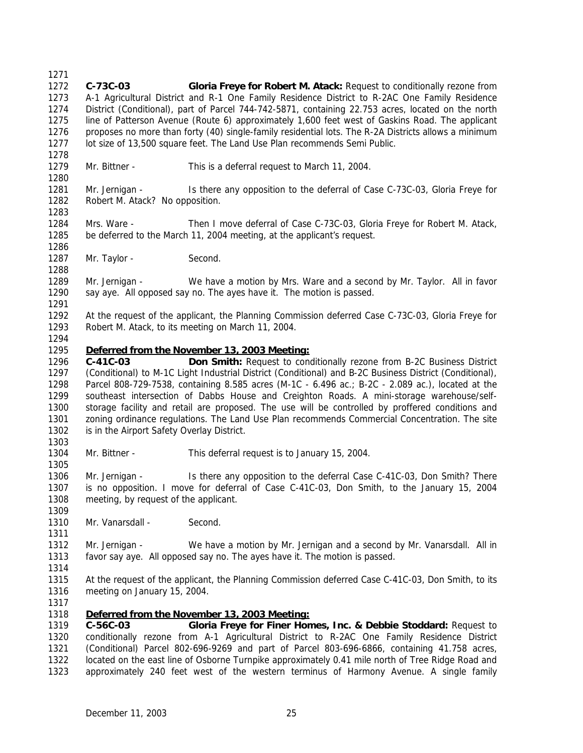- **C-73C-03 Gloria Freye for Robert M. Atack:** Request to conditionally rezone from A-1 Agricultural District and R-1 One Family Residence District to R-2AC One Family Residence District (Conditional), part of Parcel 744-742-5871, containing 22.753 acres, located on the north line of Patterson Avenue (Route 6) approximately 1,600 feet west of Gaskins Road. The applicant 1276 proposes no more than forty (40) single-family residential lots. The R-2A Districts allows a minimum lot size of 13,500 square feet. The Land Use Plan recommends Semi Public. Mr. Bittner - This is a deferral request to March 11, 2004. Mr. Jernigan - Is there any opposition to the deferral of Case C-73C-03, Gloria Freye for 1282 Robert M. Atack? No opposition. Mrs. Ware - Then I move deferral of Case C-73C-03, Gloria Freye for Robert M. Atack, be deferred to the March 11, 2004 meeting, at the applicant's request. 1287 Mr. Taylor - Second. Mr. Jernigan - We have a motion by Mrs. Ware and a second by Mr. Taylor. All in favor say aye. All opposed say no. The ayes have it. The motion is passed. At the request of the applicant, the Planning Commission deferred Case C-73C-03, Gloria Freye for Robert M. Atack, to its meeting on March 11, 2004. *Deferred from the November 13, 2003 Meeting:* **C-41C-03 Don Smith:** Request to conditionally rezone from B-2C Business District (Conditional) to M-1C Light Industrial District (Conditional) and B-2C Business District (Conditional), Parcel 808-729-7538, containing 8.585 acres (M-1C - 6.496 ac.; B-2C - 2.089 ac.), located at the southeast intersection of Dabbs House and Creighton Roads. A mini-storage warehouse/self- storage facility and retail are proposed. The use will be controlled by proffered conditions and zoning ordinance regulations. The Land Use Plan recommends Commercial Concentration. The site 1302 is in the Airport Safety Overlay District. Mr. Bittner - This deferral request is to January 15, 2004. Mr. Jernigan - Is there any opposition to the deferral Case C-41C-03, Don Smith? There is no opposition. I move for deferral of Case C-41C-03, Don Smith, to the January 15, 2004 meeting, by request of the applicant. 1310 Mr. Vanarsdall - Second. Mr. Jernigan - We have a motion by Mr. Jernigan and a second by Mr. Vanarsdall. All in favor say aye. All opposed say no. The ayes have it. The motion is passed. At the request of the applicant, the Planning Commission deferred Case C-41C-03, Don Smith, to its meeting on January 15, 2004. *Deferred from the November 13, 2003 Meeting:* **C-56C-03 Gloria Freye for Finer Homes, Inc. & Debbie Stoddard:** Request to conditionally rezone from A-1 Agricultural District to R-2AC One Family Residence District
- (Conditional) Parcel 802-696-9269 and part of Parcel 803-696-6866, containing 41.758 acres, located on the east line of Osborne Turnpike approximately 0.41 mile north of Tree Ridge Road and approximately 240 feet west of the western terminus of Harmony Avenue. A single family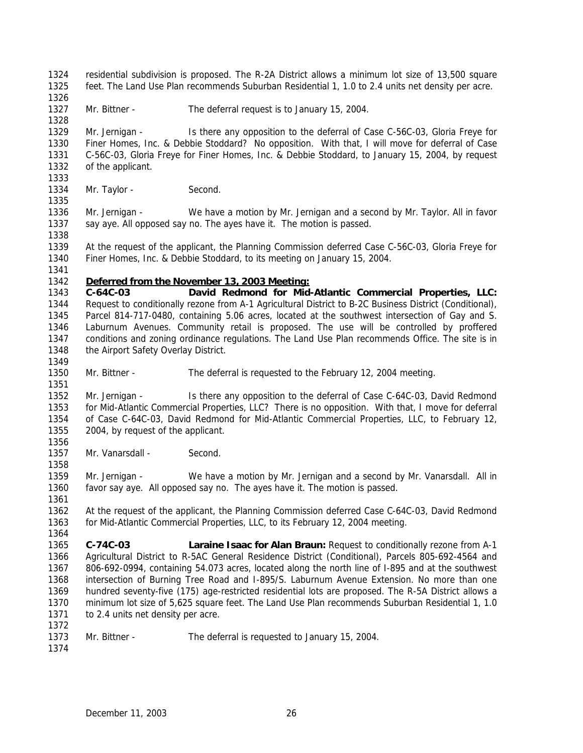residential subdivision is proposed. The R-2A District allows a minimum lot size of 13,500 square feet. The Land Use Plan recommends Suburban Residential 1, 1.0 to 2.4 units net density per acre.

1327 Mr. Bittner - The deferral request is to January 15, 2004.

 Mr. Jernigan - Is there any opposition to the deferral of Case C-56C-03, Gloria Freye for Finer Homes, Inc. & Debbie Stoddard? No opposition. With that, I will move for deferral of Case C-56C-03, Gloria Freye for Finer Homes, Inc. & Debbie Stoddard, to January 15, 2004, by request of the applicant. 

1334 Mr. Taylor - Second.

 Mr. Jernigan - We have a motion by Mr. Jernigan and a second by Mr. Taylor. All in favor 1337 say aye. All opposed say no. The ayes have it. The motion is passed. 

 At the request of the applicant, the Planning Commission deferred Case C-56C-03, Gloria Freye for Finer Homes, Inc. & Debbie Stoddard, to its meeting on January 15, 2004.

#### *Deferred from the November 13, 2003 Meeting:*

 **C-64C-03 David Redmond for Mid-Atlantic Commercial Properties, LLC:** Request to conditionally rezone from A-1 Agricultural District to B-2C Business District (Conditional), Parcel 814-717-0480, containing 5.06 acres, located at the southwest intersection of Gay and S. Laburnum Avenues. Community retail is proposed. The use will be controlled by proffered conditions and zoning ordinance regulations. The Land Use Plan recommends Office. The site is in 1348 the Airport Safety Overlay District.

Mr. Bittner - The deferral is requested to the February 12, 2004 meeting.

 Mr. Jernigan - Is there any opposition to the deferral of Case C-64C-03, David Redmond for Mid-Atlantic Commercial Properties, LLC? There is no opposition. With that, I move for deferral of Case C-64C-03, David Redmond for Mid-Atlantic Commercial Properties, LLC, to February 12, 2004, by request of the applicant.

1357 Mr. Vanarsdall - Second.

 Mr. Jernigan - We have a motion by Mr. Jernigan and a second by Mr. Vanarsdall. All in favor say aye. All opposed say no. The ayes have it. The motion is passed.

 At the request of the applicant, the Planning Commission deferred Case C-64C-03, David Redmond for Mid-Atlantic Commercial Properties, LLC, to its February 12, 2004 meeting.

 **C-74C-03 Laraine Isaac for Alan Braun:** Request to conditionally rezone from A-1 Agricultural District to R-5AC General Residence District (Conditional), Parcels 805-692-4564 and 806-692-0994, containing 54.073 acres, located along the north line of I-895 and at the southwest intersection of Burning Tree Road and I-895/S. Laburnum Avenue Extension. No more than one hundred seventy-five (175) age-restricted residential lots are proposed. The R-5A District allows a minimum lot size of 5,625 square feet. The Land Use Plan recommends Suburban Residential 1, 1.0 1371 to 2.4 units net density per acre. 

- Mr. Bittner The deferral is requested to January 15, 2004.
-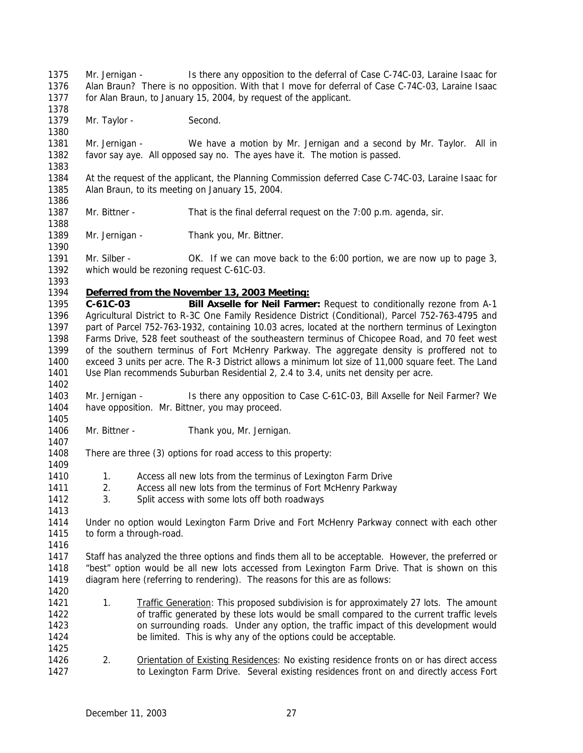Mr. Jernigan - Is there any opposition to the deferral of Case C-74C-03, Laraine Isaac for Alan Braun? There is no opposition. With that I move for deferral of Case C-74C-03, Laraine Isaac for Alan Braun, to January 15, 2004, by request of the applicant.

1379 Mr. Taylor - Second.

 Mr. Jernigan - We have a motion by Mr. Jernigan and a second by Mr. Taylor. All in favor say aye. All opposed say no. The ayes have it. The motion is passed.

 At the request of the applicant, the Planning Commission deferred Case C-74C-03, Laraine Isaac for Alan Braun, to its meeting on January 15, 2004.

Mr. Bittner - That is the final deferral request on the 7:00 p.m. agenda, sir.

1389 Mr. Jernigan - Thank you, Mr. Bittner.

1391 Mr. Silber - OK. If we can move back to the 6:00 portion, we are now up to page 3, which would be rezoning request C-61C-03.

### *Deferred from the November 13, 2003 Meeting:*

 **C-61C-03 Bill Axselle for Neil Farmer:** Request to conditionally rezone from A-1 Agricultural District to R-3C One Family Residence District (Conditional), Parcel 752-763-4795 and part of Parcel 752-763-1932, containing 10.03 acres, located at the northern terminus of Lexington Farms Drive, 528 feet southeast of the southeastern terminus of Chicopee Road, and 70 feet west of the southern terminus of Fort McHenry Parkway. The aggregate density is proffered not to exceed 3 units per acre. The R-3 District allows a minimum lot size of 11,000 square feet. The Land Use Plan recommends Suburban Residential 2, 2.4 to 3.4, units net density per acre.

 Mr. Jernigan - Is there any opposition to Case C-61C-03, Bill Axselle for Neil Farmer? We have opposition. Mr. Bittner, you may proceed.

- Mr. Bittner Thank you, Mr. Jernigan.
- 

 There are three (3) options for road access to this property: 

- 1410 1. Access all new lots from the terminus of Lexington Farm Drive<br>1411 2. Access all new lots from the terminus of Fort McHenry Parkway
- 2. Access all new lots from the terminus of Fort McHenry Parkway
- 3. Split access with some lots off both roadways

 Under no option would Lexington Farm Drive and Fort McHenry Parkway connect with each other 1415 to form a through-road.

 Staff has analyzed the three options and finds them all to be acceptable. However, the preferred or "best" option would be all new lots accessed from Lexington Farm Drive. That is shown on this diagram here (referring to rendering). The reasons for this are as follows:

- 1. Traffic Generation: This proposed subdivision is for approximately 27 lots. The amount of traffic generated by these lots would be small compared to the current traffic levels on surrounding roads. Under any option, the traffic impact of this development would be limited. This is why any of the options could be acceptable.
- 2. Orientation of Existing Residences: No existing residence fronts on or has direct access 1427 to Lexington Farm Drive. Several existing residences front on and directly access Fort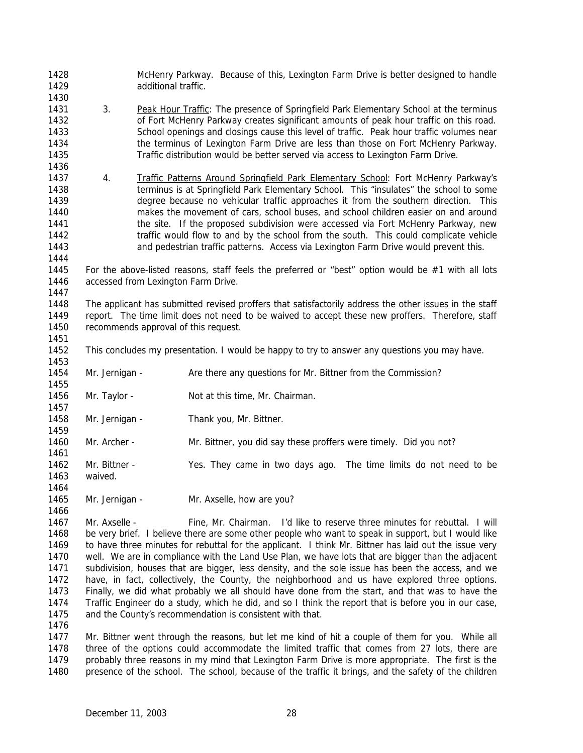McHenry Parkway. Because of this, Lexington Farm Drive is better designed to handle additional traffic.

- 1431 3. Peak Hour Traffic: The presence of Springfield Park Elementary School at the terminus of Fort McHenry Parkway creates significant amounts of peak hour traffic on this road. School openings and closings cause this level of traffic. Peak hour traffic volumes near the terminus of Lexington Farm Drive are less than those on Fort McHenry Parkway. Traffic distribution would be better served via access to Lexington Farm Drive.
- 4. Traffic Patterns Around Springfield Park Elementary School: Fort McHenry Parkway's terminus is at Springfield Park Elementary School. This "insulates" the school to some degree because no vehicular traffic approaches it from the southern direction. This makes the movement of cars, school buses, and school children easier on and around **the site.** If the proposed subdivision were accessed via Fort McHenry Parkway, new 1442 traffic would flow to and by the school from the south. This could complicate vehicle and pedestrian traffic patterns. Access via Lexington Farm Drive would prevent this.

 For the above-listed reasons, staff feels the preferred or "best" option would be #1 with all lots accessed from Lexington Farm Drive.

 The applicant has submitted revised proffers that satisfactorily address the other issues in the staff report. The time limit does not need to be waived to accept these new proffers. Therefore, staff recommends approval of this request.

- This concludes my presentation. I would be happy to try to answer any questions you may have.
- Mr. Jernigan - Are there any questions for Mr. Bittner from the Commission?
- 1456 Mr. Taylor Not at this time, Mr. Chairman.
- 1458 Mr. Jernigan Thank you, Mr. Bittner.
- Mr. Archer Mr. Bittner, you did say these proffers were timely. Did you not?
- Mr. Bittner Yes. They came in two days ago. The time limits do not need to be waived.
- 1465 Mr. Jernigan Mr. Axselle, how are you?

 Mr. Axselle - Fine, Mr. Chairman. I'd like to reserve three minutes for rebuttal. I will be very brief. I believe there are some other people who want to speak in support, but I would like to have three minutes for rebuttal for the applicant. I think Mr. Bittner has laid out the issue very well. We are in compliance with the Land Use Plan, we have lots that are bigger than the adjacent subdivision, houses that are bigger, less density, and the sole issue has been the access, and we have, in fact, collectively, the County, the neighborhood and us have explored three options. Finally, we did what probably we all should have done from the start, and that was to have the Traffic Engineer do a study, which he did, and so I think the report that is before you in our case, and the County's recommendation is consistent with that.

 Mr. Bittner went through the reasons, but let me kind of hit a couple of them for you. While all three of the options could accommodate the limited traffic that comes from 27 lots, there are probably three reasons in my mind that Lexington Farm Drive is more appropriate. The first is the presence of the school. The school, because of the traffic it brings, and the safety of the children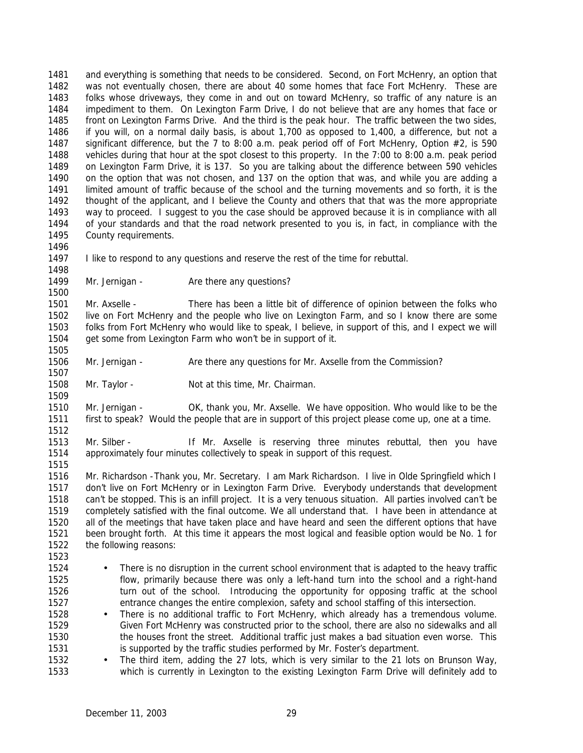and everything is something that needs to be considered. Second, on Fort McHenry, an option that was not eventually chosen, there are about 40 some homes that face Fort McHenry. These are folks whose driveways, they come in and out on toward McHenry, so traffic of any nature is an impediment to them. On Lexington Farm Drive, I do not believe that are any homes that face or front on Lexington Farms Drive. And the third is the peak hour. The traffic between the two sides, if you will, on a normal daily basis, is about 1,700 as opposed to 1,400, a difference, but not a significant difference, but the 7 to 8:00 a.m. peak period off of Fort McHenry, Option #2, is 590 1488 vehicles during that hour at the spot closest to this property. In the 7:00 to 8:00 a.m. peak period on Lexington Farm Drive, it is 137. So you are talking about the difference between 590 vehicles on the option that was not chosen, and 137 on the option that was, and while you are adding a limited amount of traffic because of the school and the turning movements and so forth, it is the thought of the applicant, and I believe the County and others that that was the more appropriate way to proceed. I suggest to you the case should be approved because it is in compliance with all of your standards and that the road network presented to you is, in fact, in compliance with the County requirements. 

I like to respond to any questions and reserve the rest of the time for rebuttal.

1499 Mr. Jernigan - Are there any questions?

 Mr. Axselle - There has been a little bit of difference of opinion between the folks who live on Fort McHenry and the people who live on Lexington Farm, and so I know there are some folks from Fort McHenry who would like to speak, I believe, in support of this, and I expect we will get some from Lexington Farm who won't be in support of it. 

Mr. Jernigan - Are there any questions for Mr. Axselle from the Commission?

Mr. Taylor - Not at this time, Mr. Chairman.

 Mr. Jernigan - OK, thank you, Mr. Axselle. We have opposition. Who would like to be the first to speak? Would the people that are in support of this project please come up, one at a time. 

 Mr. Silber - If Mr. Axselle is reserving three minutes rebuttal, then you have approximately four minutes collectively to speak in support of this request.

 Mr. Richardson -Thank you, Mr. Secretary. I am Mark Richardson. I live in Olde Springfield which I don't live on Fort McHenry or in Lexington Farm Drive. Everybody understands that development can't be stopped. This is an infill project. It is a very tenuous situation. All parties involved can't be completely satisfied with the final outcome. We all understand that. I have been in attendance at all of the meetings that have taken place and have heard and seen the different options that have been brought forth. At this time it appears the most logical and feasible option would be No. 1 for the following reasons:

- There is no disruption in the current school environment that is adapted to the heavy traffic flow, primarily because there was only a left-hand turn into the school and a right-hand 1526 turn out of the school. Introducing the opportunity for opposing traffic at the school entrance changes the entire complexion, safety and school staffing of this intersection.
- 1528 There is no additional traffic to Fort McHenry, which already has a tremendous volume. Given Fort McHenry was constructed prior to the school, there are also no sidewalks and all the houses front the street. Additional traffic just makes a bad situation even worse. This 1531 is supported by the traffic studies performed by Mr. Foster's department.

1532 • The third item, adding the 27 lots, which is very similar to the 21 lots on Brunson Way, which is currently in Lexington to the existing Lexington Farm Drive will definitely add to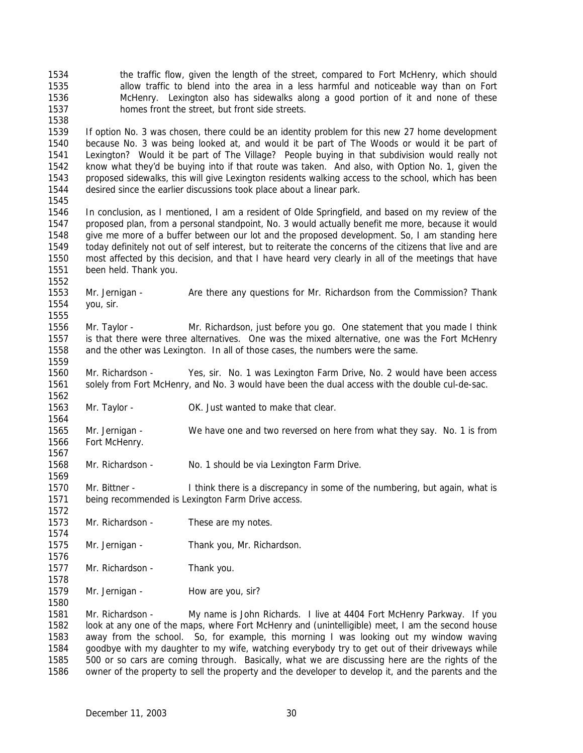- the traffic flow, given the length of the street, compared to Fort McHenry, which should allow traffic to blend into the area in a less harmful and noticeable way than on Fort McHenry. Lexington also has sidewalks along a good portion of it and none of these homes front the street, but front side streets.
- 

 If option No. 3 was chosen, there could be an identity problem for this new 27 home development because No. 3 was being looked at, and would it be part of The Woods or would it be part of Lexington? Would it be part of The Village? People buying in that subdivision would really not know what they'd be buying into if that route was taken. And also, with Option No. 1, given the proposed sidewalks, this will give Lexington residents walking access to the school, which has been desired since the earlier discussions took place about a linear park. 

- In conclusion, as I mentioned, I am a resident of Olde Springfield, and based on my review of the proposed plan, from a personal standpoint, No. 3 would actually benefit me more, because it would give me more of a buffer between our lot and the proposed development. So, I am standing here today definitely not out of self interest, but to reiterate the concerns of the citizens that live and are most affected by this decision, and that I have heard very clearly in all of the meetings that have been held. Thank you.
- 1553 Mr. Jernigan Are there any questions for Mr. Richardson from the Commission? Thank you, sir.
- Mr. Taylor Mr. Richardson, just before you go. One statement that you made I think is that there were three alternatives. One was the mixed alternative, one was the Fort McHenry and the other was Lexington. In all of those cases, the numbers were the same.
- Mr. Richardson Yes, sir. No. 1 was Lexington Farm Drive, No. 2 would have been access solely from Fort McHenry, and No. 3 would have been the dual access with the double cul-de-sac.
- 1563 Mr. Taylor OK. Just wanted to make that clear.
- Mr. Jernigan We have one and two reversed on here from what they say. No. 1 is from Fort McHenry.
- Mr. Richardson No. 1 should be via Lexington Farm Drive.
- Mr. Bittner I think there is a discrepancy in some of the numbering, but again, what is being recommended is Lexington Farm Drive access.
- 1573 Mr. Richardson These are my notes.
- Mr. Jernigan Thank you, Mr. Richardson.
- 1577 Mr. Richardson Thank you.
- 1579 Mr. Jernigan How are you, sir?

 Mr. Richardson - My name is John Richards. I live at 4404 Fort McHenry Parkway. If you look at any one of the maps, where Fort McHenry and (unintelligible) meet, I am the second house away from the school. So, for example, this morning I was looking out my window waving goodbye with my daughter to my wife, watching everybody try to get out of their driveways while 500 or so cars are coming through. Basically, what we are discussing here are the rights of the owner of the property to sell the property and the developer to develop it, and the parents and the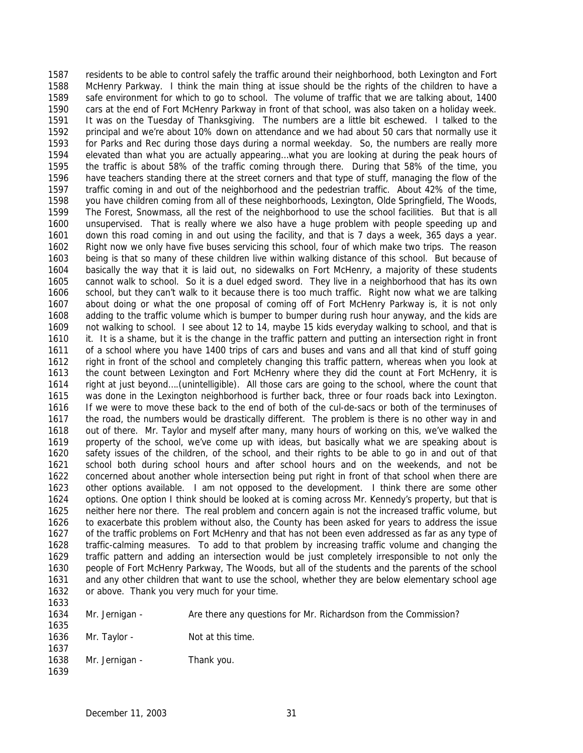residents to be able to control safely the traffic around their neighborhood, both Lexington and Fort McHenry Parkway. I think the main thing at issue should be the rights of the children to have a safe environment for which to go to school. The volume of traffic that we are talking about, 1400 cars at the end of Fort McHenry Parkway in front of that school, was also taken on a holiday week. It was on the Tuesday of Thanksgiving. The numbers are a little bit eschewed. I talked to the principal and we're about 10% down on attendance and we had about 50 cars that normally use it for Parks and Rec during those days during a normal weekday. So, the numbers are really more elevated than what you are actually appearing…what you are looking at during the peak hours of the traffic is about 58% of the traffic coming through there. During that 58% of the time, you have teachers standing there at the street corners and that type of stuff, managing the flow of the traffic coming in and out of the neighborhood and the pedestrian traffic. About 42% of the time, you have children coming from all of these neighborhoods, Lexington, Olde Springfield, The Woods, The Forest, Snowmass, all the rest of the neighborhood to use the school facilities. But that is all unsupervised. That is really where we also have a huge problem with people speeding up and down this road coming in and out using the facility, and that is 7 days a week, 365 days a year. Right now we only have five buses servicing this school, four of which make two trips. The reason being is that so many of these children live within walking distance of this school. But because of basically the way that it is laid out, no sidewalks on Fort McHenry, a majority of these students cannot walk to school. So it is a duel edged sword. They live in a neighborhood that has its own school, but they can't walk to it because there is too much traffic. Right now what we are talking about doing or what the one proposal of coming off of Fort McHenry Parkway is, it is not only adding to the traffic volume which is bumper to bumper during rush hour anyway, and the kids are not walking to school. I see about 12 to 14, maybe 15 kids everyday walking to school, and that is it. It is a shame, but it is the change in the traffic pattern and putting an intersection right in front of a school where you have 1400 trips of cars and buses and vans and all that kind of stuff going right in front of the school and completely changing this traffic pattern, whereas when you look at the count between Lexington and Fort McHenry where they did the count at Fort McHenry, it is right at just beyond….(unintelligible). All those cars are going to the school, where the count that was done in the Lexington neighborhood is further back, three or four roads back into Lexington. If we were to move these back to the end of both of the cul-de-sacs or both of the terminuses of the road, the numbers would be drastically different. The problem is there is no other way in and out of there. Mr. Taylor and myself after many, many hours of working on this, we've walked the property of the school, we've come up with ideas, but basically what we are speaking about is safety issues of the children, of the school, and their rights to be able to go in and out of that school both during school hours and after school hours and on the weekends, and not be concerned about another whole intersection being put right in front of that school when there are other options available. I am not opposed to the development. I think there are some other options. One option I think should be looked at is coming across Mr. Kennedy's property, but that is neither here nor there. The real problem and concern again is not the increased traffic volume, but to exacerbate this problem without also, the County has been asked for years to address the issue of the traffic problems on Fort McHenry and that has not been even addressed as far as any type of traffic-calming measures. To add to that problem by increasing traffic volume and changing the traffic pattern and adding an intersection would be just completely irresponsible to not only the people of Fort McHenry Parkway, The Woods, but all of the students and the parents of the school and any other children that want to use the school, whether they are below elementary school age or above. Thank you very much for your time. Mr. Jernigan - Are there any questions for Mr. Richardson from the Commission? 1636 Mr. Taylor - Not at this time.

1638 Mr. Jernigan - Thank you.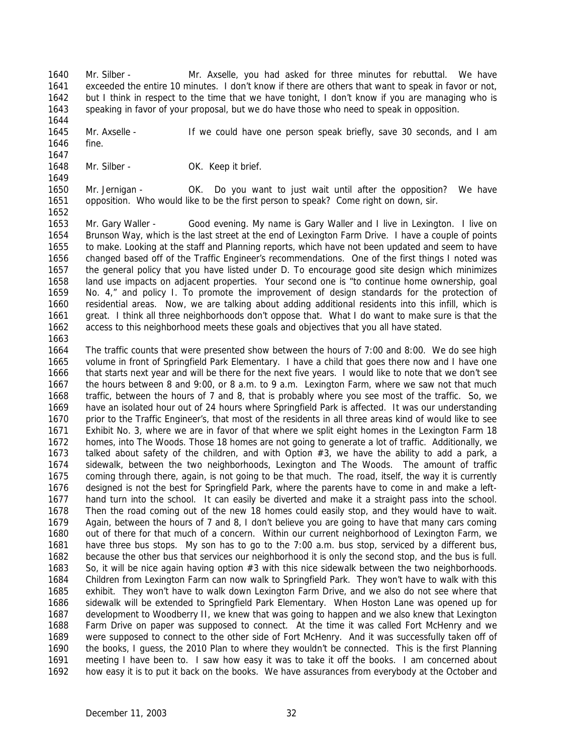Mr. Silber - Mr. Axselle, you had asked for three minutes for rebuttal. We have exceeded the entire 10 minutes. I don't know if there are others that want to speak in favor or not, but I think in respect to the time that we have tonight, I don't know if you are managing who is speaking in favor of your proposal, but we do have those who need to speak in opposition. 

 Mr. Axselle - If we could have one person speak briefly, save 30 seconds, and I am fine.

 

1648 Mr. Silber - OK. Keep it brief.

 Mr. Jernigan - OK. Do you want to just wait until after the opposition? We have opposition. Who would like to be the first person to speak? Come right on down, sir.

 Mr. Gary Waller - Good evening. My name is Gary Waller and I live in Lexington. I live on Brunson Way, which is the last street at the end of Lexington Farm Drive. I have a couple of points to make. Looking at the staff and Planning reports, which have not been updated and seem to have changed based off of the Traffic Engineer's recommendations. One of the first things I noted was the general policy that you have listed under D. To encourage good site design which minimizes land use impacts on adjacent properties. Your second one is "to continue home ownership, goal No. 4," and policy I. To promote the improvement of design standards for the protection of residential areas. Now, we are talking about adding additional residents into this infill, which is great. I think all three neighborhoods don't oppose that. What I do want to make sure is that the access to this neighborhood meets these goals and objectives that you all have stated.

 The traffic counts that were presented show between the hours of 7:00 and 8:00. We do see high volume in front of Springfield Park Elementary. I have a child that goes there now and I have one that starts next year and will be there for the next five years. I would like to note that we don't see the hours between 8 and 9:00, or 8 a.m. to 9 a.m. Lexington Farm, where we saw not that much traffic, between the hours of 7 and 8, that is probably where you see most of the traffic. So, we have an isolated hour out of 24 hours where Springfield Park is affected. It was our understanding prior to the Traffic Engineer's, that most of the residents in all three areas kind of would like to see Exhibit No. 3, where we are in favor of that where we split eight homes in the Lexington Farm 18 homes, into The Woods. Those 18 homes are not going to generate a lot of traffic. Additionally, we 1673 talked about safety of the children, and with Option #3, we have the ability to add a park, a sidewalk, between the two neighborhoods, Lexington and The Woods. The amount of traffic coming through there, again, is not going to be that much. The road, itself, the way it is currently designed is not the best for Springfield Park, where the parents have to come in and make a left- hand turn into the school. It can easily be diverted and make it a straight pass into the school. Then the road coming out of the new 18 homes could easily stop, and they would have to wait. Again, between the hours of 7 and 8, I don't believe you are going to have that many cars coming out of there for that much of a concern. Within our current neighborhood of Lexington Farm, we have three bus stops. My son has to go to the 7:00 a.m. bus stop, serviced by a different bus, because the other bus that services our neighborhood it is only the second stop, and the bus is full. So, it will be nice again having option #3 with this nice sidewalk between the two neighborhoods. Children from Lexington Farm can now walk to Springfield Park. They won't have to walk with this exhibit. They won't have to walk down Lexington Farm Drive, and we also do not see where that sidewalk will be extended to Springfield Park Elementary. When Hoston Lane was opened up for development to Woodberry II, we knew that was going to happen and we also knew that Lexington Farm Drive on paper was supposed to connect. At the time it was called Fort McHenry and we were supposed to connect to the other side of Fort McHenry. And it was successfully taken off of the books, I guess, the 2010 Plan to where they wouldn't be connected. This is the first Planning meeting I have been to. I saw how easy it was to take it off the books. I am concerned about how easy it is to put it back on the books. We have assurances from everybody at the October and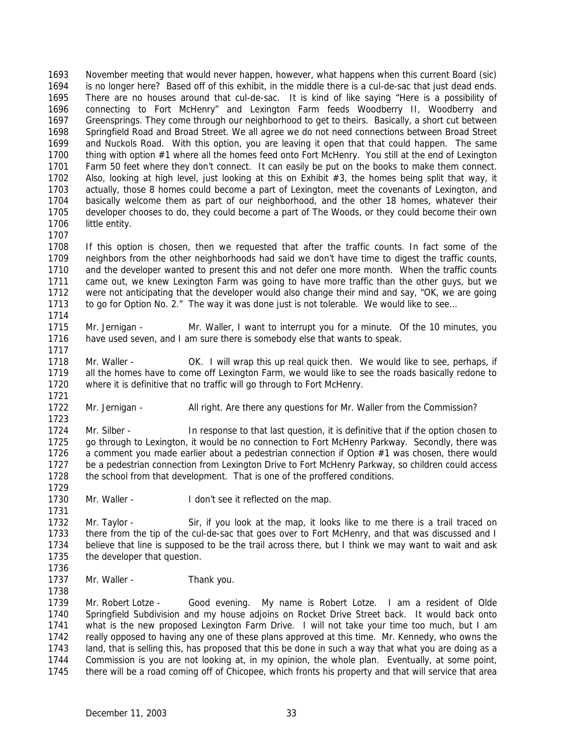November meeting that would never happen, however, what happens when this current Board (sic) is no longer here? Based off of this exhibit, in the middle there is a cul-de-sac that just dead ends. There are no houses around that cul-de-sac. It is kind of like saying "Here is a possibility of connecting to Fort McHenry" and Lexington Farm feeds Woodberry II, Woodberry and Greensprings. They come through our neighborhood to get to theirs. Basically, a short cut between Springfield Road and Broad Street. We all agree we do not need connections between Broad Street and Nuckols Road. With this option, you are leaving it open that that could happen. The same thing with option #1 where all the homes feed onto Fort McHenry. You still at the end of Lexington Farm 50 feet where they don't connect. It can easily be put on the books to make them connect. Also, looking at high level, just looking at this on Exhibit #3, the homes being split that way, it actually, those 8 homes could become a part of Lexington, meet the covenants of Lexington, and basically welcome them as part of our neighborhood, and the other 18 homes, whatever their developer chooses to do, they could become a part of The Woods, or they could become their own little entity.

 If this option is chosen, then we requested that after the traffic counts. In fact some of the neighbors from the other neighborhoods had said we don't have time to digest the traffic counts, and the developer wanted to present this and not defer one more month. When the traffic counts came out, we knew Lexington Farm was going to have more traffic than the other guys, but we were not anticipating that the developer would also change their mind and say, "OK, we are going to go for Option No. 2." The way it was done just is not tolerable. We would like to see…

1715 Mr. Jernigan - Mr. Waller, I want to interrupt you for a minute. Of the 10 minutes, you have used seven, and I am sure there is somebody else that wants to speak. 

 Mr. Waller - OK. I will wrap this up real quick then. We would like to see, perhaps, if all the homes have to come off Lexington Farm, we would like to see the roads basically redone to where it is definitive that no traffic will go through to Fort McHenry.

1722 Mr. Jernigan - All right. Are there any questions for Mr. Waller from the Commission? 

1724 Mr. Silber - In response to that last question, it is definitive that if the option chosen to go through to Lexington, it would be no connection to Fort McHenry Parkway. Secondly, there was 1726 a comment you made earlier about a pedestrian connection if Option #1 was chosen, there would be a pedestrian connection from Lexington Drive to Fort McHenry Parkway, so children could access the school from that development. That is one of the proffered conditions.

1730 Mr. Waller - I don't see it reflected on the map.

 Mr. Taylor - Sir, if you look at the map, it looks like to me there is a trail traced on there from the tip of the cul-de-sac that goes over to Fort McHenry, and that was discussed and I believe that line is supposed to be the trail across there, but I think we may want to wait and ask the developer that question. 

1737 Mr. Waller - Thank you. 

 Mr. Robert Lotze - Good evening. My name is Robert Lotze. I am a resident of Olde Springfield Subdivision and my house adjoins on Rocket Drive Street back. It would back onto what is the new proposed Lexington Farm Drive. I will not take your time too much, but I am really opposed to having any one of these plans approved at this time. Mr. Kennedy, who owns the 1743 land, that is selling this, has proposed that this be done in such a way that what you are doing as a Commission is you are not looking at, in my opinion, the whole plan. Eventually, at some point, there will be a road coming off of Chicopee, which fronts his property and that will service that area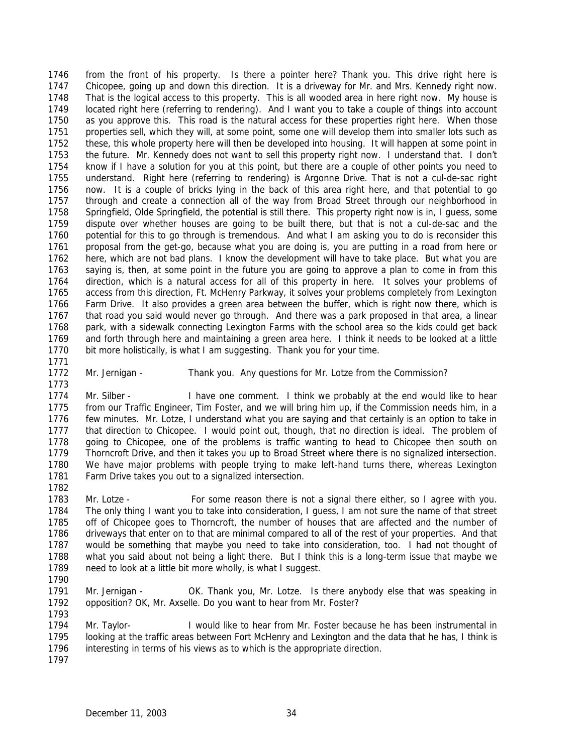from the front of his property. Is there a pointer here? Thank you. This drive right here is Chicopee, going up and down this direction. It is a driveway for Mr. and Mrs. Kennedy right now. That is the logical access to this property. This is all wooded area in here right now. My house is located right here (referring to rendering). And I want you to take a couple of things into account as you approve this. This road is the natural access for these properties right here. When those properties sell, which they will, at some point, some one will develop them into smaller lots such as these, this whole property here will then be developed into housing. It will happen at some point in the future. Mr. Kennedy does not want to sell this property right now. I understand that. I don't know if I have a solution for you at this point, but there are a couple of other points you need to understand. Right here (referring to rendering) is Argonne Drive. That is not a cul-de-sac right now. It is a couple of bricks lying in the back of this area right here, and that potential to go through and create a connection all of the way from Broad Street through our neighborhood in Springfield, Olde Springfield, the potential is still there. This property right now is in, I guess, some dispute over whether houses are going to be built there, but that is not a cul-de-sac and the potential for this to go through is tremendous. And what I am asking you to do is reconsider this proposal from the get-go, because what you are doing is, you are putting in a road from here or here, which are not bad plans. I know the development will have to take place. But what you are saying is, then, at some point in the future you are going to approve a plan to come in from this direction, which is a natural access for all of this property in here. It solves your problems of access from this direction, Ft. McHenry Parkway, it solves your problems completely from Lexington Farm Drive. It also provides a green area between the buffer, which is right now there, which is that road you said would never go through. And there was a park proposed in that area, a linear park, with a sidewalk connecting Lexington Farms with the school area so the kids could get back and forth through here and maintaining a green area here. I think it needs to be looked at a little bit more holistically, is what I am suggesting. Thank you for your time.

- 
- 

Mr. Jernigan - Thank you. Any questions for Mr. Lotze from the Commission?

1774 Mr. Silber - I have one comment. I think we probably at the end would like to hear from our Traffic Engineer, Tim Foster, and we will bring him up, if the Commission needs him, in a few minutes. Mr. Lotze, I understand what you are saying and that certainly is an option to take in that direction to Chicopee. I would point out, though, that no direction is ideal. The problem of going to Chicopee, one of the problems is traffic wanting to head to Chicopee then south on Thorncroft Drive, and then it takes you up to Broad Street where there is no signalized intersection. We have major problems with people trying to make left-hand turns there, whereas Lexington Farm Drive takes you out to a signalized intersection.

 Mr. Lotze - For some reason there is not a signal there either, so I agree with you. The only thing I want you to take into consideration, I guess, I am not sure the name of that street off of Chicopee goes to Thorncroft, the number of houses that are affected and the number of driveways that enter on to that are minimal compared to all of the rest of your properties. And that would be something that maybe you need to take into consideration, too. I had not thought of what you said about not being a light there. But I think this is a long-term issue that maybe we need to look at a little bit more wholly, is what I suggest. 

1791 Mr. Jernigan - OK. Thank you, Mr. Lotze. Is there anybody else that was speaking in opposition? OK, Mr. Axselle. Do you want to hear from Mr. Foster? 

 Mr. Taylor- I would like to hear from Mr. Foster because he has been instrumental in looking at the traffic areas between Fort McHenry and Lexington and the data that he has, I think is interesting in terms of his views as to which is the appropriate direction.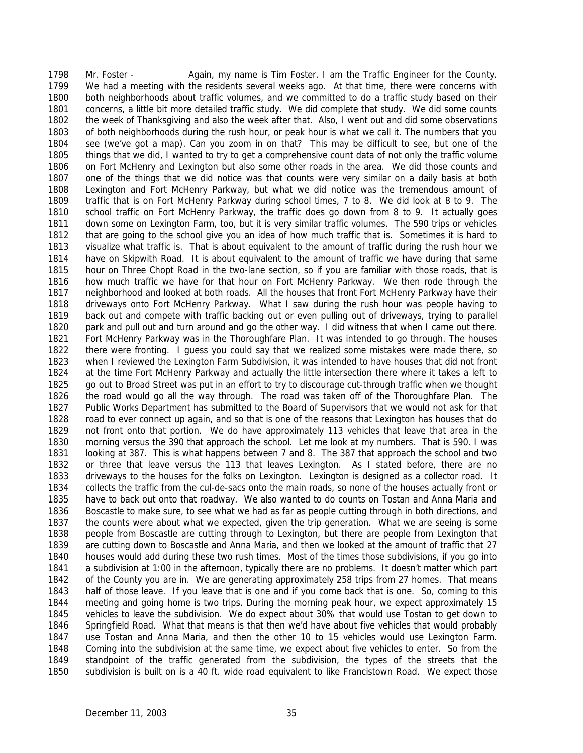Mr. Foster - Again, my name is Tim Foster. I am the Traffic Engineer for the County. We had a meeting with the residents several weeks ago. At that time, there were concerns with both neighborhoods about traffic volumes, and we committed to do a traffic study based on their concerns, a little bit more detailed traffic study. We did complete that study. We did some counts the week of Thanksgiving and also the week after that. Also, I went out and did some observations of both neighborhoods during the rush hour, or peak hour is what we call it. The numbers that you see (we've got a map). Can you zoom in on that? This may be difficult to see, but one of the things that we did, I wanted to try to get a comprehensive count data of not only the traffic volume on Fort McHenry and Lexington but also some other roads in the area. We did those counts and one of the things that we did notice was that counts were very similar on a daily basis at both Lexington and Fort McHenry Parkway, but what we did notice was the tremendous amount of traffic that is on Fort McHenry Parkway during school times, 7 to 8. We did look at 8 to 9. The school traffic on Fort McHenry Parkway, the traffic does go down from 8 to 9. It actually goes down some on Lexington Farm, too, but it is very similar traffic volumes. The 590 trips or vehicles that are going to the school give you an idea of how much traffic that is. Sometimes it is hard to visualize what traffic is. That is about equivalent to the amount of traffic during the rush hour we have on Skipwith Road. It is about equivalent to the amount of traffic we have during that same hour on Three Chopt Road in the two-lane section, so if you are familiar with those roads, that is how much traffic we have for that hour on Fort McHenry Parkway. We then rode through the neighborhood and looked at both roads. All the houses that front Fort McHenry Parkway have their driveways onto Fort McHenry Parkway. What I saw during the rush hour was people having to back out and compete with traffic backing out or even pulling out of driveways, trying to parallel park and pull out and turn around and go the other way. I did witness that when I came out there. Fort McHenry Parkway was in the Thoroughfare Plan. It was intended to go through. The houses there were fronting. I guess you could say that we realized some mistakes were made there, so when I reviewed the Lexington Farm Subdivision, it was intended to have houses that did not front at the time Fort McHenry Parkway and actually the little intersection there where it takes a left to go out to Broad Street was put in an effort to try to discourage cut-through traffic when we thought the road would go all the way through. The road was taken off of the Thoroughfare Plan. The Public Works Department has submitted to the Board of Supervisors that we would not ask for that road to ever connect up again, and so that is one of the reasons that Lexington has houses that do not front onto that portion. We do have approximately 113 vehicles that leave that area in the morning versus the 390 that approach the school. Let me look at my numbers. That is 590. I was looking at 387. This is what happens between 7 and 8. The 387 that approach the school and two or three that leave versus the 113 that leaves Lexington. As I stated before, there are no driveways to the houses for the folks on Lexington. Lexington is designed as a collector road. It collects the traffic from the cul-de-sacs onto the main roads, so none of the houses actually front or have to back out onto that roadway. We also wanted to do counts on Tostan and Anna Maria and Boscastle to make sure, to see what we had as far as people cutting through in both directions, and the counts were about what we expected, given the trip generation. What we are seeing is some people from Boscastle are cutting through to Lexington, but there are people from Lexington that are cutting down to Boscastle and Anna Maria, and then we looked at the amount of traffic that 27 houses would add during these two rush times. Most of the times those subdivisions, if you go into a subdivision at 1:00 in the afternoon, typically there are no problems. It doesn't matter which part of the County you are in. We are generating approximately 258 trips from 27 homes. That means half of those leave. If you leave that is one and if you come back that is one. So, coming to this meeting and going home is two trips. During the morning peak hour, we expect approximately 15 vehicles to leave the subdivision. We do expect about 30% that would use Tostan to get down to Springfield Road. What that means is that then we'd have about five vehicles that would probably use Tostan and Anna Maria, and then the other 10 to 15 vehicles would use Lexington Farm. Coming into the subdivision at the same time, we expect about five vehicles to enter. So from the standpoint of the traffic generated from the subdivision, the types of the streets that the subdivision is built on is a 40 ft. wide road equivalent to like Francistown Road. We expect those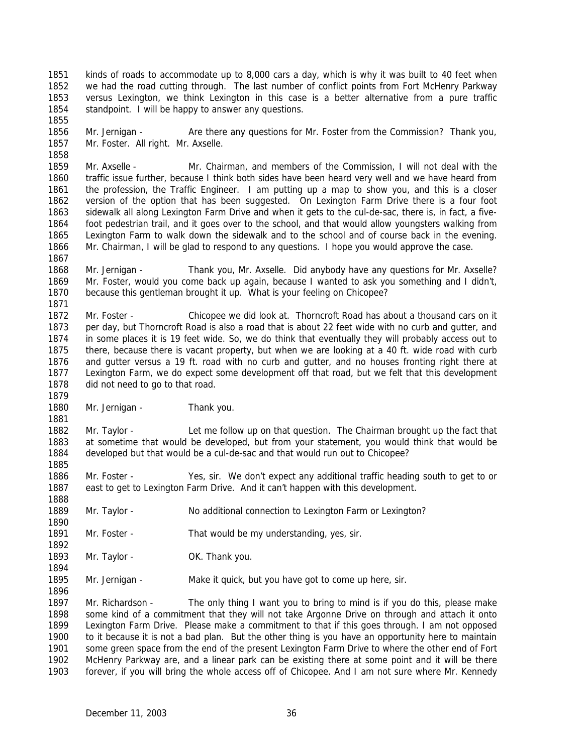kinds of roads to accommodate up to 8,000 cars a day, which is why it was built to 40 feet when we had the road cutting through. The last number of conflict points from Fort McHenry Parkway versus Lexington, we think Lexington in this case is a better alternative from a pure traffic 1854 standpoint. I will be happy to answer any questions.

 Mr. Jernigan - Are there any questions for Mr. Foster from the Commission? Thank you, Mr. Foster. All right. Mr. Axselle.

 Mr. Axselle - Mr. Chairman, and members of the Commission, I will not deal with the traffic issue further, because I think both sides have been heard very well and we have heard from the profession, the Traffic Engineer. I am putting up a map to show you, and this is a closer version of the option that has been suggested. On Lexington Farm Drive there is a four foot sidewalk all along Lexington Farm Drive and when it gets to the cul-de-sac, there is, in fact, a five- foot pedestrian trail, and it goes over to the school, and that would allow youngsters walking from Lexington Farm to walk down the sidewalk and to the school and of course back in the evening. Mr. Chairman, I will be glad to respond to any questions. I hope you would approve the case.

 Mr. Jernigan - Thank you, Mr. Axselle. Did anybody have any questions for Mr. Axselle? Mr. Foster, would you come back up again, because I wanted to ask you something and I didn't, because this gentleman brought it up. What is your feeling on Chicopee?

 Mr. Foster - Chicopee we did look at. Thorncroft Road has about a thousand cars on it per day, but Thorncroft Road is also a road that is about 22 feet wide with no curb and gutter, and in some places it is 19 feet wide. So, we do think that eventually they will probably access out to there, because there is vacant property, but when we are looking at a 40 ft. wide road with curb and gutter versus a 19 ft. road with no curb and gutter, and no houses fronting right there at Lexington Farm, we do expect some development off that road, but we felt that this development did not need to go to that road.

1880 Mr. Jernigan - Thank you.

 Mr. Taylor - Let me follow up on that question. The Chairman brought up the fact that at sometime that would be developed, but from your statement, you would think that would be developed but that would be a cul-de-sac and that would run out to Chicopee? 

 Mr. Foster - Yes, sir. We don't expect any additional traffic heading south to get to or east to get to Lexington Farm Drive. And it can't happen with this development.

- 1889 Mr. Taylor No additional connection to Lexington Farm or Lexington?
- 1891 Mr. Foster That would be my understanding, yes, sir.
- 1893 Mr. Taylor OK. Thank you.
- 1895 Mr. Jernigan Make it quick, but you have got to come up here, sir.

 Mr. Richardson - The only thing I want you to bring to mind is if you do this, please make some kind of a commitment that they will not take Argonne Drive on through and attach it onto Lexington Farm Drive. Please make a commitment to that if this goes through. I am not opposed to it because it is not a bad plan. But the other thing is you have an opportunity here to maintain some green space from the end of the present Lexington Farm Drive to where the other end of Fort McHenry Parkway are, and a linear park can be existing there at some point and it will be there forever, if you will bring the whole access off of Chicopee. And I am not sure where Mr. Kennedy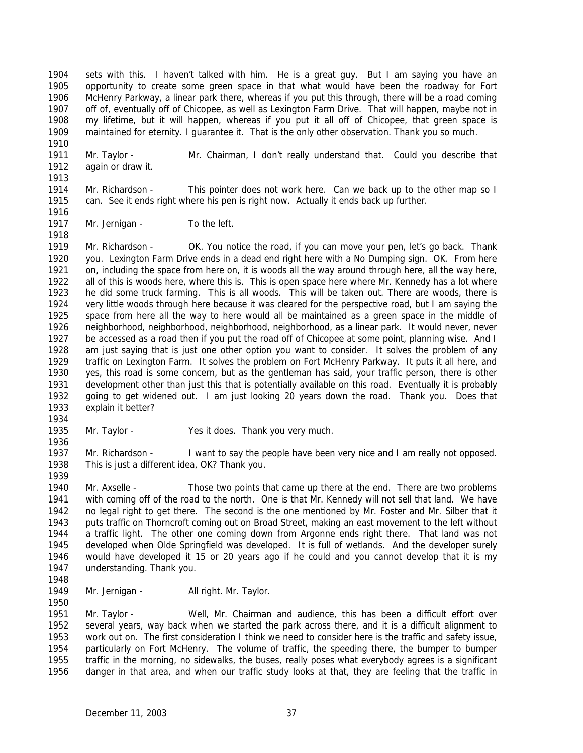sets with this. I haven't talked with him. He is a great guy. But I am saying you have an opportunity to create some green space in that what would have been the roadway for Fort McHenry Parkway, a linear park there, whereas if you put this through, there will be a road coming off of, eventually off of Chicopee, as well as Lexington Farm Drive. That will happen, maybe not in my lifetime, but it will happen, whereas if you put it all off of Chicopee, that green space is maintained for eternity. I guarantee it. That is the only other observation. Thank you so much.

 Mr. Taylor - Mr. Chairman, I don't really understand that. Could you describe that again or draw it. 

 Mr. Richardson - This pointer does not work here. Can we back up to the other map so I can. See it ends right where his pen is right now. Actually it ends back up further.

1917 Mr. Jernigan - To the left. 

 Mr. Richardson - OK. You notice the road, if you can move your pen, let's go back. Thank you. Lexington Farm Drive ends in a dead end right here with a No Dumping sign. OK. From here on, including the space from here on, it is woods all the way around through here, all the way here, all of this is woods here, where this is. This is open space here where Mr. Kennedy has a lot where he did some truck farming. This is all woods. This will be taken out. There are woods, there is very little woods through here because it was cleared for the perspective road, but I am saying the space from here all the way to here would all be maintained as a green space in the middle of neighborhood, neighborhood, neighborhood, neighborhood, as a linear park. It would never, never be accessed as a road then if you put the road off of Chicopee at some point, planning wise. And I am just saying that is just one other option you want to consider. It solves the problem of any traffic on Lexington Farm. It solves the problem on Fort McHenry Parkway. It puts it all here, and yes, this road is some concern, but as the gentleman has said, your traffic person, there is other development other than just this that is potentially available on this road. Eventually it is probably going to get widened out. I am just looking 20 years down the road. Thank you. Does that explain it better?

- 
- Mr. Taylor Yes it does. Thank you very much.

 Mr. Richardson - I want to say the people have been very nice and I am really not opposed. This is just a different idea, OK? Thank you.

 Mr. Axselle - Those two points that came up there at the end. There are two problems with coming off of the road to the north. One is that Mr. Kennedy will not sell that land. We have no legal right to get there. The second is the one mentioned by Mr. Foster and Mr. Silber that it puts traffic on Thorncroft coming out on Broad Street, making an east movement to the left without a traffic light. The other one coming down from Argonne ends right there. That land was not developed when Olde Springfield was developed. It is full of wetlands. And the developer surely would have developed it 15 or 20 years ago if he could and you cannot develop that it is my understanding. Thank you.

1949 Mr. Jernigan - All right. Mr. Taylor. 

 Mr. Taylor - Well, Mr. Chairman and audience, this has been a difficult effort over several years, way back when we started the park across there, and it is a difficult alignment to work out on. The first consideration I think we need to consider here is the traffic and safety issue, particularly on Fort McHenry. The volume of traffic, the speeding there, the bumper to bumper traffic in the morning, no sidewalks, the buses, really poses what everybody agrees is a significant danger in that area, and when our traffic study looks at that, they are feeling that the traffic in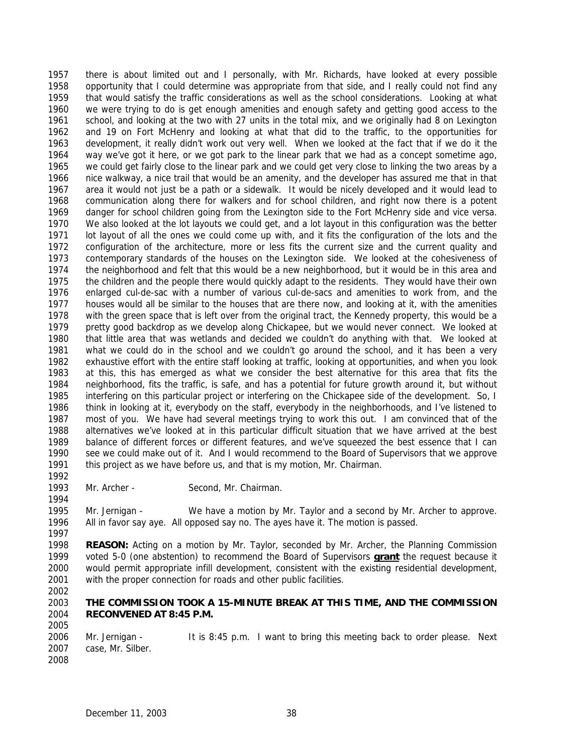there is about limited out and I personally, with Mr. Richards, have looked at every possible opportunity that I could determine was appropriate from that side, and I really could not find any that would satisfy the traffic considerations as well as the school considerations. Looking at what we were trying to do is get enough amenities and enough safety and getting good access to the school, and looking at the two with 27 units in the total mix, and we originally had 8 on Lexington and 19 on Fort McHenry and looking at what that did to the traffic, to the opportunities for development, it really didn't work out very well. When we looked at the fact that if we do it the way we've got it here, or we got park to the linear park that we had as a concept sometime ago, we could get fairly close to the linear park and we could get very close to linking the two areas by a nice walkway, a nice trail that would be an amenity, and the developer has assured me that in that area it would not just be a path or a sidewalk. It would be nicely developed and it would lead to communication along there for walkers and for school children, and right now there is a potent danger for school children going from the Lexington side to the Fort McHenry side and vice versa. We also looked at the lot layouts we could get, and a lot layout in this configuration was the better lot layout of all the ones we could come up with, and it fits the configuration of the lots and the configuration of the architecture, more or less fits the current size and the current quality and contemporary standards of the houses on the Lexington side. We looked at the cohesiveness of the neighborhood and felt that this would be a new neighborhood, but it would be in this area and the children and the people there would quickly adapt to the residents. They would have their own enlarged cul-de-sac with a number of various cul-de-sacs and amenities to work from, and the houses would all be similar to the houses that are there now, and looking at it, with the amenities with the green space that is left over from the original tract, the Kennedy property, this would be a pretty good backdrop as we develop along Chickapee, but we would never connect. We looked at that little area that was wetlands and decided we couldn't do anything with that. We looked at what we could do in the school and we couldn't go around the school, and it has been a very exhaustive effort with the entire staff looking at traffic, looking at opportunities, and when you look at this, this has emerged as what we consider the best alternative for this area that fits the neighborhood, fits the traffic, is safe, and has a potential for future growth around it, but without interfering on this particular project or interfering on the Chickapee side of the development. So, I think in looking at it, everybody on the staff, everybody in the neighborhoods, and I've listened to most of you. We have had several meetings trying to work this out. I am convinced that of the alternatives we've looked at in this particular difficult situation that we have arrived at the best balance of different forces or different features, and we've squeezed the best essence that I can see we could make out of it. And I would recommend to the Board of Supervisors that we approve this project as we have before us, and that is my motion, Mr. Chairman.

1993 Mr. Archer - Second, Mr. Chairman.

 Mr. Jernigan - We have a motion by Mr. Taylor and a second by Mr. Archer to approve. All in favor say aye. All opposed say no. The ayes have it. The motion is passed.

 **REASON:** Acting on a motion by Mr. Taylor, seconded by Mr. Archer, the Planning Commission voted 5-0 (one abstention) to recommend the Board of Supervisors **grant** the request because it would permit appropriate infill development, consistent with the existing residential development, with the proper connection for roads and other public facilities.

#### **THE COMMISSION TOOK A 15-MINUTE BREAK AT THIS TIME, AND THE COMMISSION RECONVENED AT 8:45 P.M.**

 Mr. Jernigan - It is 8:45 p.m. I want to bring this meeting back to order please. Next case, Mr. Silber. 

December 11, 2003 38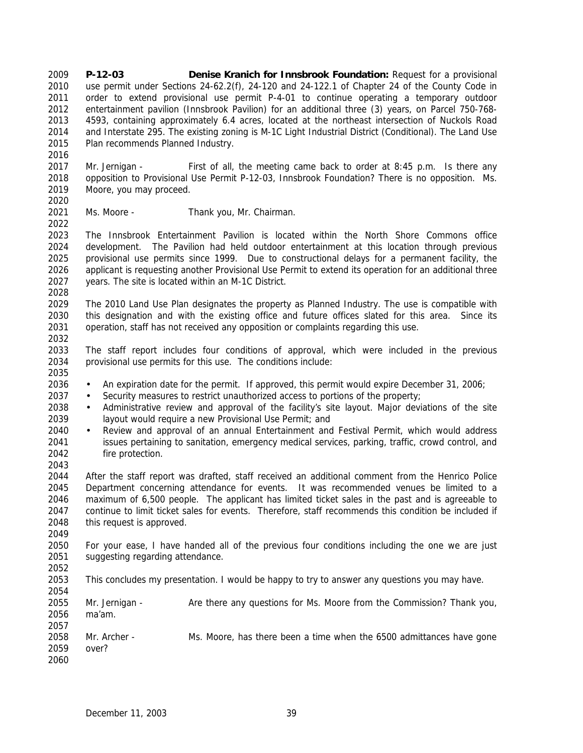**P-12-03 Denise Kranich for Innsbrook Foundation:** Request for a provisional use permit under Sections 24-62.2(f), 24-120 and 24-122.1 of Chapter 24 of the County Code in order to extend provisional use permit P-4-01 to continue operating a temporary outdoor entertainment pavilion (Innsbrook Pavilion) for an additional three (3) years, on Parcel 750-768- 4593, containing approximately 6.4 acres, located at the northeast intersection of Nuckols Road and Interstate 295. The existing zoning is M-1C Light Industrial District (Conditional). The Land Use Plan recommends Planned Industry.

 Mr. Jernigan - First of all, the meeting came back to order at 8:45 p.m. Is there any opposition to Provisional Use Permit P-12-03, Innsbrook Foundation? There is no opposition. Ms. Moore, you may proceed. 

Ms. Moore - Thank you, Mr. Chairman.

 The Innsbrook Entertainment Pavilion is located within the North Shore Commons office development. The Pavilion had held outdoor entertainment at this location through previous provisional use permits since 1999. Due to constructional delays for a permanent facility, the applicant is requesting another Provisional Use Permit to extend its operation for an additional three years. The site is located within an M-1C District. 

 The 2010 Land Use Plan designates the property as Planned Industry. The use is compatible with this designation and with the existing office and future offices slated for this area. Since its operation, staff has not received any opposition or complaints regarding this use.

 The staff report includes four conditions of approval, which were included in the previous provisional use permits for this use. The conditions include:

- An expiration date for the permit. If approved, this permit would expire December 31, 2006;
- Security measures to restrict unauthorized access to portions of the property;
- Administrative review and approval of the facility's site layout. Major deviations of the site layout would require a new Provisional Use Permit; and
- Review and approval of an annual Entertainment and Festival Permit, which would address issues pertaining to sanitation, emergency medical services, parking, traffic, crowd control, and fire protection.

 After the staff report was drafted, staff received an additional comment from the Henrico Police Department concerning attendance for events. It was recommended venues be limited to a maximum of 6,500 people. The applicant has limited ticket sales in the past and is agreeable to continue to limit ticket sales for events. Therefore, staff recommends this condition be included if this request is approved.

 For your ease, I have handed all of the previous four conditions including the one we are just suggesting regarding attendance.

This concludes my presentation. I would be happy to try to answer any questions you may have.

 Mr. Jernigan - Are there any questions for Ms. Moore from the Commission? Thank you, ma'am.

 Mr. Archer - Ms. Moore, has there been a time when the 6500 admittances have gone over? 

December 11, 2003 39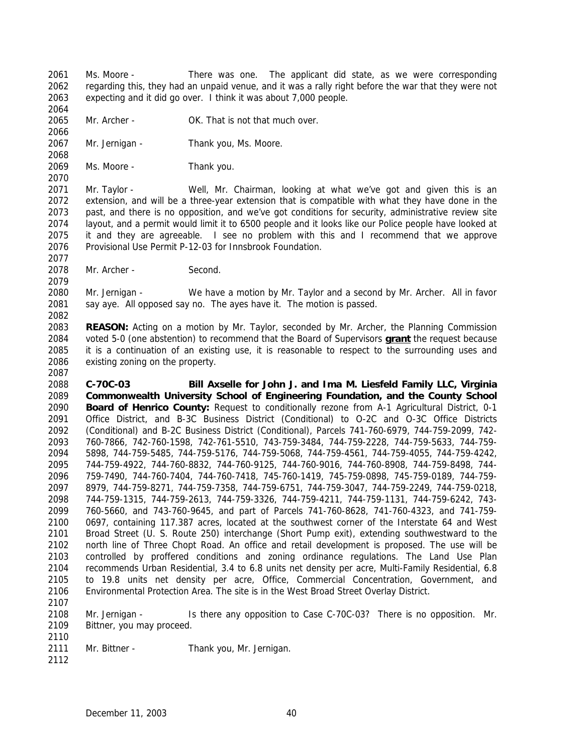Ms. Moore - There was one. The applicant did state, as we were corresponding regarding this, they had an unpaid venue, and it was a rally right before the war that they were not expecting and it did go over. I think it was about 7,000 people. 

 Mr. Archer - OK. That is not that much over. 

Mr. Jernigan - Thank you, Ms. Moore.

Ms. Moore - Thank you.

 Mr. Taylor - Well, Mr. Chairman, looking at what we've got and given this is an extension, and will be a three-year extension that is compatible with what they have done in the past, and there is no opposition, and we've got conditions for security, administrative review site layout, and a permit would limit it to 6500 people and it looks like our Police people have looked at it and they are agreeable. I see no problem with this and I recommend that we approve Provisional Use Permit P-12-03 for Innsbrook Foundation.

Mr. Archer - Second.

 Mr. Jernigan - We have a motion by Mr. Taylor and a second by Mr. Archer. All in favor 2081 say aye. All opposed say no. The ayes have it. The motion is passed.

 **REASON:** Acting on a motion by Mr. Taylor, seconded by Mr. Archer, the Planning Commission voted 5-0 (one abstention) to recommend that the Board of Supervisors **grant** the request because it is a continuation of an existing use, it is reasonable to respect to the surrounding uses and existing zoning on the property.

 **C-70C-03 Bill Axselle for John J. and Ima M. Liesfeld Family LLC, Virginia Commonwealth University School of Engineering Foundation, and the County School Board of Henrico County:** Request to conditionally rezone from A-1 Agricultural District, 0-1 Office District, and B-3C Business District (Conditional) to O-2C and O-3C Office Districts (Conditional) and B-2C Business District (Conditional), Parcels 741-760-6979, 744-759-2099, 742- 760-7866, 742-760-1598, 742-761-5510, 743-759-3484, 744-759-2228, 744-759-5633, 744-759- 5898, 744-759-5485, 744-759-5176, 744-759-5068, 744-759-4561, 744-759-4055, 744-759-4242, 744-759-4922, 744-760-8832, 744-760-9125, 744-760-9016, 744-760-8908, 744-759-8498, 744- 759-7490, 744-760-7404, 744-760-7418, 745-760-1419, 745-759-0898, 745-759-0189, 744-759- 8979, 744-759-8271, 744-759-7358, 744-759-6751, 744-759-3047, 744-759-2249, 744-759-0218, 744-759-1315, 744-759-2613, 744-759-3326, 744-759-4211, 744-759-1131, 744-759-6242, 743- 760-5660, and 743-760-9645, and part of Parcels 741-760-8628, 741-760-4323, and 741-759- 0697, containing 117.387 acres, located at the southwest corner of the Interstate 64 and West Broad Street (U. S. Route 250) interchange (Short Pump exit), extending southwestward to the north line of Three Chopt Road. An office and retail development is proposed. The use will be controlled by proffered conditions and zoning ordinance regulations. The Land Use Plan recommends Urban Residential, 3.4 to 6.8 units net density per acre, Multi-Family Residential, 6.8 to 19.8 units net density per acre, Office, Commercial Concentration, Government, and Environmental Protection Area. The site is in the West Broad Street Overlay District.

 Mr. Jernigan - Is there any opposition to Case C-70C-03? There is no opposition. Mr. Bittner, you may proceed.

- 2111 Mr. Bittner Thank you, Mr. Jernigan.
-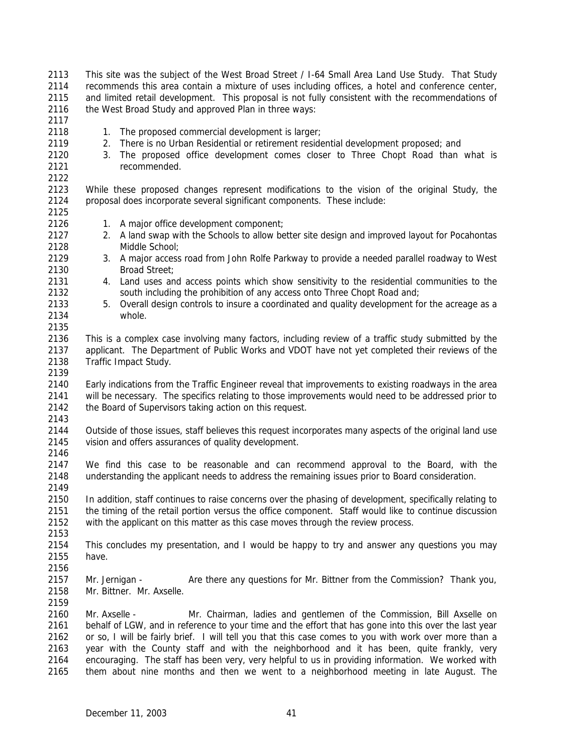This site was the subject of the West Broad Street / I-64 Small Area Land Use Study. That Study recommends this area contain a mixture of uses including offices, a hotel and conference center, and limited retail development. This proposal is not fully consistent with the recommendations of 2116 the West Broad Study and approved Plan in three ways:

- 2118 1. The proposed commercial development is larger;
- 2. There is no Urban Residential or retirement residential development proposed; and
- 3. The proposed office development comes closer to Three Chopt Road than what is recommended.

 While these proposed changes represent modifications to the vision of the original Study, the proposal does incorporate several significant components. These include:

- 1. A major office development component;
- 2. A land swap with the Schools to allow better site design and improved layout for Pocahontas Middle School;
- 3. A major access road from John Rolfe Parkway to provide a needed parallel roadway to West Broad Street;
- 4. Land uses and access points which show sensitivity to the residential communities to the south including the prohibition of any access onto Three Chopt Road and;
- 5. Overall design controls to insure a coordinated and quality development for the acreage as a whole.
- This is a complex case involving many factors, including review of a traffic study submitted by the applicant. The Department of Public Works and VDOT have not yet completed their reviews of the Traffic Impact Study.
- Early indications from the Traffic Engineer reveal that improvements to existing roadways in the area will be necessary. The specifics relating to those improvements would need to be addressed prior to 2142 the Board of Supervisors taking action on this request.
- Outside of those issues, staff believes this request incorporates many aspects of the original land use vision and offers assurances of quality development.
- 
- We find this case to be reasonable and can recommend approval to the Board, with the understanding the applicant needs to address the remaining issues prior to Board consideration.
- In addition, staff continues to raise concerns over the phasing of development, specifically relating to the timing of the retail portion versus the office component. Staff would like to continue discussion with the applicant on this matter as this case moves through the review process.
- This concludes my presentation, and I would be happy to try and answer any questions you may have.
- 

- Mr. Jernigan Are there any questions for Mr. Bittner from the Commission? Thank you, Mr. Bittner. Mr. Axselle.
- Mr. Axselle - Mr. Chairman, ladies and gentlemen of the Commission, Bill Axselle on behalf of LGW, and in reference to your time and the effort that has gone into this over the last year or so, I will be fairly brief. I will tell you that this case comes to you with work over more than a year with the County staff and with the neighborhood and it has been, quite frankly, very encouraging. The staff has been very, very helpful to us in providing information. We worked with them about nine months and then we went to a neighborhood meeting in late August. The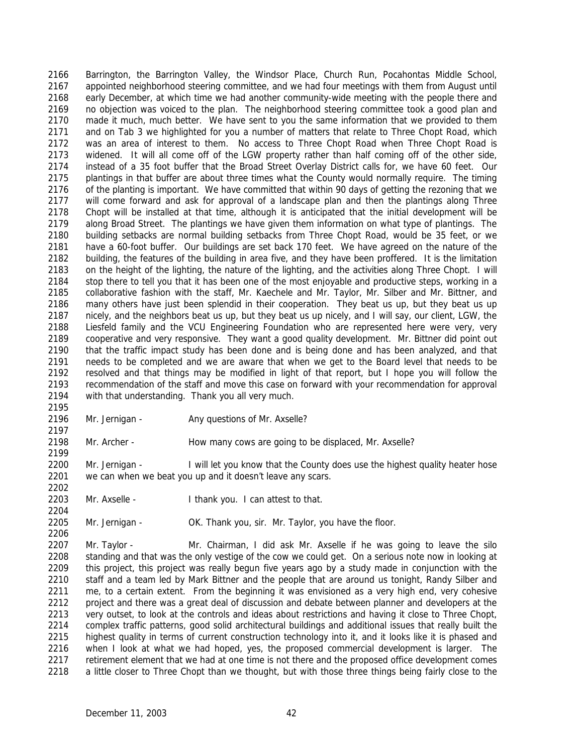Barrington, the Barrington Valley, the Windsor Place, Church Run, Pocahontas Middle School, appointed neighborhood steering committee, and we had four meetings with them from August until early December, at which time we had another community-wide meeting with the people there and no objection was voiced to the plan. The neighborhood steering committee took a good plan and made it much, much better. We have sent to you the same information that we provided to them and on Tab 3 we highlighted for you a number of matters that relate to Three Chopt Road, which was an area of interest to them. No access to Three Chopt Road when Three Chopt Road is widened. It will all come off of the LGW property rather than half coming off of the other side, instead of a 35 foot buffer that the Broad Street Overlay District calls for, we have 60 feet. Our plantings in that buffer are about three times what the County would normally require. The timing of the planting is important. We have committed that within 90 days of getting the rezoning that we will come forward and ask for approval of a landscape plan and then the plantings along Three Chopt will be installed at that time, although it is anticipated that the initial development will be along Broad Street. The plantings we have given them information on what type of plantings. The building setbacks are normal building setbacks from Three Chopt Road, would be 35 feet, or we have a 60-foot buffer. Our buildings are set back 170 feet. We have agreed on the nature of the building, the features of the building in area five, and they have been proffered. It is the limitation on the height of the lighting, the nature of the lighting, and the activities along Three Chopt. I will 2184 stop there to tell you that it has been one of the most enjoyable and productive steps, working in a collaborative fashion with the staff, Mr. Kaechele and Mr. Taylor, Mr. Silber and Mr. Bittner, and many others have just been splendid in their cooperation. They beat us up, but they beat us up nicely, and the neighbors beat us up, but they beat us up nicely, and I will say, our client, LGW, the Liesfeld family and the VCU Engineering Foundation who are represented here were very, very cooperative and very responsive. They want a good quality development. Mr. Bittner did point out that the traffic impact study has been done and is being done and has been analyzed, and that needs to be completed and we are aware that when we get to the Board level that needs to be resolved and that things may be modified in light of that report, but I hope you will follow the recommendation of the staff and move this case on forward with your recommendation for approval with that understanding. Thank you all very much.

 

2196 Mr. Jernigan - Any questions of Mr. Axselle?

Mr. Archer - How many cows are going to be displaced, Mr. Axselle?

2200 Mr. Jernigan - I will let you know that the County does use the highest quality heater hose we can when we beat you up and it doesn't leave any scars.

Mr. Axselle - I thank you. I can attest to that.

Mr. Jernigan - OK. Thank you, sir. Mr. Taylor, you have the floor.

 Mr. Taylor - Mr. Chairman, I did ask Mr. Axselle if he was going to leave the silo standing and that was the only vestige of the cow we could get. On a serious note now in looking at this project, this project was really begun five years ago by a study made in conjunction with the staff and a team led by Mark Bittner and the people that are around us tonight, Randy Silber and me, to a certain extent. From the beginning it was envisioned as a very high end, very cohesive project and there was a great deal of discussion and debate between planner and developers at the very outset, to look at the controls and ideas about restrictions and having it close to Three Chopt, complex traffic patterns, good solid architectural buildings and additional issues that really built the highest quality in terms of current construction technology into it, and it looks like it is phased and 2216 when I look at what we had hoped, yes, the proposed commercial development is larger. The retirement element that we had at one time is not there and the proposed office development comes 2218 a little closer to Three Chopt than we thought, but with those three things being fairly close to the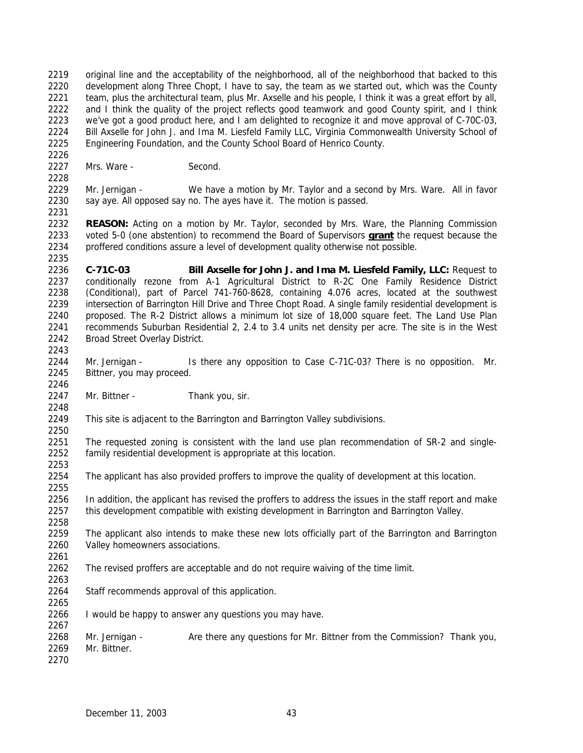original line and the acceptability of the neighborhood, all of the neighborhood that backed to this development along Three Chopt, I have to say, the team as we started out, which was the County 2221 team, plus the architectural team, plus Mr. Axselle and his people, I think it was a great effort by all, 2222 and I think the quality of the project reflects good teamwork and good County spirit, and I think we've got a good product here, and I am delighted to recognize it and move approval of C-70C-03, Bill Axselle for John J. and Ima M. Liesfeld Family LLC, Virginia Commonwealth University School of Engineering Foundation, and the County School Board of Henrico County.

2227 Mrs. Ware - Second.

 Mr. Jernigan - We have a motion by Mr. Taylor and a second by Mrs. Ware. All in favor 2230 say aye. All opposed say no. The ayes have it. The motion is passed.

 **REASON:** Acting on a motion by Mr. Taylor, seconded by Mrs. Ware, the Planning Commission voted 5-0 (one abstention) to recommend the Board of Supervisors **grant** the request because the proffered conditions assure a level of development quality otherwise not possible.

 **C-71C-03 Bill Axselle for John J. and Ima M. Liesfeld Family, LLC:** Request to conditionally rezone from A-1 Agricultural District to R-2C One Family Residence District (Conditional), part of Parcel 741-760-8628, containing 4.076 acres, located at the southwest intersection of Barrington Hill Drive and Three Chopt Road. A single family residential development is proposed. The R-2 District allows a minimum lot size of 18,000 square feet. The Land Use Plan recommends Suburban Residential 2, 2.4 to 3.4 units net density per acre. The site is in the West Broad Street Overlay District. 

- Mr. Jernigan Is there any opposition to Case C-71C-03? There is no opposition. Mr. Bittner, you may proceed.
- Mr. Bittner *-* Thank you, sir.
- This site is adjacent to the Barrington and Barrington Valley subdivisions.

 The requested zoning is consistent with the land use plan recommendation of SR-2 and single-family residential development is appropriate at this location.

The applicant has also provided proffers to improve the quality of development at this location.

 In addition, the applicant has revised the proffers to address the issues in the staff report and make this development compatible with existing development in Barrington and Barrington Valley.

- 2259 The applicant also intends to make these new lots officially part of the Barrington and Barrington Valley homeowners associations.
- The revised proffers are acceptable and do not require waiving of the time limit.
- Staff recommends approval of this application.
- I would be happy to answer any questions you may have.

 Mr. Jernigan - Are there any questions for Mr. Bittner from the Commission? Thank you, Mr. Bittner.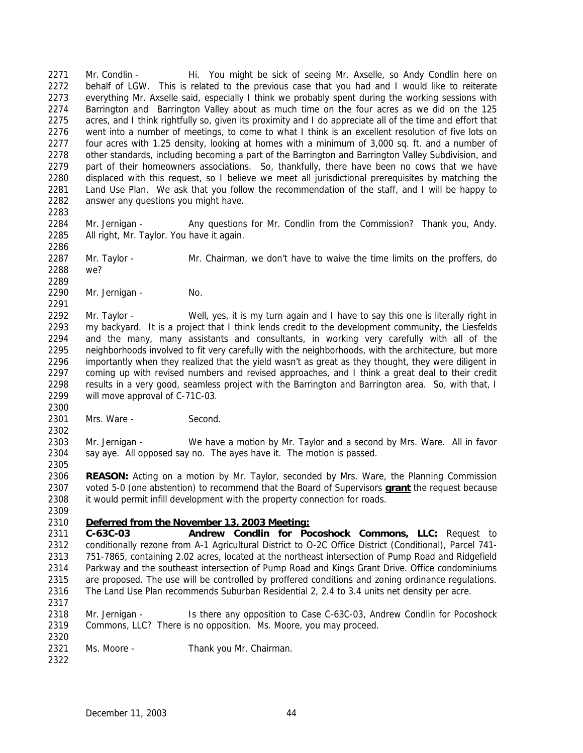2271 Mr. Condlin - Hi. You might be sick of seeing Mr. Axselle, so Andy Condlin here on behalf of LGW. This is related to the previous case that you had and I would like to reiterate everything Mr. Axselle said, especially I think we probably spent during the working sessions with Barrington and Barrington Valley about as much time on the four acres as we did on the 125 acres, and I think rightfully so, given its proximity and I do appreciate all of the time and effort that went into a number of meetings, to come to what I think is an excellent resolution of five lots on four acres with 1.25 density, looking at homes with a minimum of 3,000 sq. ft. and a number of other standards, including becoming a part of the Barrington and Barrington Valley Subdivision, and part of their homeowners associations. So, thankfully, there have been no cows that we have displaced with this request, so I believe we meet all jurisdictional prerequisites by matching the Land Use Plan. We ask that you follow the recommendation of the staff, and I will be happy to answer any questions you might have.

 Mr. Jernigan - Any questions for Mr. Condlin from the Commission? Thank you, Andy. All right, Mr. Taylor. You have it again. 

 Mr. Taylor - Mr. Chairman, we don't have to waive the time limits on the proffers, do we?

2290 Mr. Jernigan - No.

2292 Mr. Taylor - Well, yes, it is my turn again and I have to say this one is literally right in my backyard. It is a project that I think lends credit to the development community, the Liesfelds and the many, many assistants and consultants, in working very carefully with all of the neighborhoods involved to fit very carefully with the neighborhoods, with the architecture, but more importantly when they realized that the yield wasn't as great as they thought, they were diligent in coming up with revised numbers and revised approaches, and I think a great deal to their credit results in a very good, seamless project with the Barrington and Barrington area. So, with that, I will move approval of C-71C-03.

2301 Mrs. Ware - Second.

 Mr. Jernigan - We have a motion by Mr. Taylor and a second by Mrs. Ware. All in favor say aye. All opposed say no. The ayes have it. The motion is passed. 

 **REASON:** Acting on a motion by Mr. Taylor, seconded by Mrs. Ware, the Planning Commission voted 5-0 (one abstention) to recommend that the Board of Supervisors **grant** the request because it would permit infill development with the property connection for roads.

# *Deferred from the November 13, 2003 Meeting:*

 **C-63C-03 Andrew Condlin for Pocoshock Commons, LLC:** Request to conditionally rezone from A-1 Agricultural District to O-2C Office District (Conditional), Parcel 741- 751-7865, containing 2.02 acres, located at the northeast intersection of Pump Road and Ridgefield Parkway and the southeast intersection of Pump Road and Kings Grant Drive. Office condominiums are proposed. The use will be controlled by proffered conditions and zoning ordinance regulations. The Land Use Plan recommends Suburban Residential 2, 2.4 to 3.4 units net density per acre.

 Mr. Jernigan - Is there any opposition to Case C-63C-03, Andrew Condlin for Pocoshock Commons, LLC? There is no opposition. Ms. Moore, you may proceed. 

Ms. Moore - Thank you Mr. Chairman.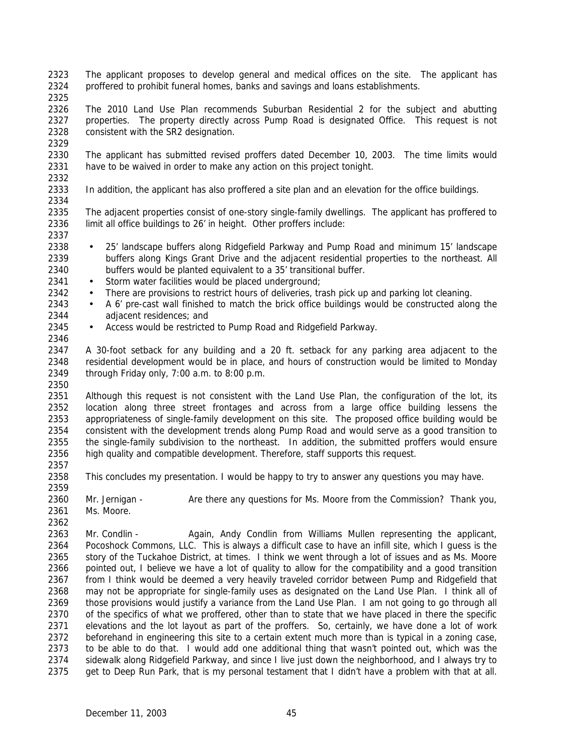- The applicant proposes to develop general and medical offices on the site. The applicant has proffered to prohibit funeral homes, banks and savings and loans establishments.
- 

 The 2010 Land Use Plan recommends Suburban Residential 2 for the subject and abutting 2327 properties. The property directly across Pump Road is designated Office. This request is not consistent with the SR2 designation.

 The applicant has submitted revised proffers dated December 10, 2003. The time limits would have to be waived in order to make any action on this project tonight. 

In addition, the applicant has also proffered a site plan and an elevation for the office buildings.

 The adjacent properties consist of one-story single-family dwellings. The applicant has proffered to 2336 limit all office buildings to 26' in height. Other proffers include:

- 25' landscape buffers along Ridgefield Parkway and Pump Road and minimum 15' landscape buffers along Kings Grant Drive and the adjacent residential properties to the northeast. All buffers would be planted equivalent to a 35' transitional buffer.
- 2341 Storm water facilities would be placed underground;
- 2342 There are provisions to restrict hours of deliveries, trash pick up and parking lot cleaning.
- A 6' pre-cast wall finished to match the brick office buildings would be constructed along the adjacent residences; and
- 2345 Access would be restricted to Pump Road and Ridgefield Parkway.

 A 30-foot setback for any building and a 20 ft. setback for any parking area adjacent to the residential development would be in place, and hours of construction would be limited to Monday through Friday only, 7:00 a.m. to 8:00 p.m.

 Although this request is not consistent with the Land Use Plan, the configuration of the lot, its location along three street frontages and across from a large office building lessens the appropriateness of single-family development on this site. The proposed office building would be consistent with the development trends along Pump Road and would serve as a good transition to the single-family subdivision to the northeast. In addition, the submitted proffers would ensure high quality and compatible development. Therefore, staff supports this request. 

- This concludes my presentation. I would be happy to try to answer any questions you may have.
- Mr. Jernigan Are there any questions for Ms. Moore from the Commission? Thank you, Ms. Moore.

2363 Mr. Condlin - Again, Andy Condlin from Williams Mullen representing the applicant, Pocoshock Commons, LLC. This is always a difficult case to have an infill site, which I guess is the story of the Tuckahoe District, at times. I think we went through a lot of issues and as Ms. Moore pointed out, I believe we have a lot of quality to allow for the compatibility and a good transition from I think would be deemed a very heavily traveled corridor between Pump and Ridgefield that may not be appropriate for single-family uses as designated on the Land Use Plan. I think all of those provisions would justify a variance from the Land Use Plan. I am not going to go through all of the specifics of what we proffered, other than to state that we have placed in there the specific elevations and the lot layout as part of the proffers. So, certainly, we have done a lot of work beforehand in engineering this site to a certain extent much more than is typical in a zoning case, to be able to do that. I would add one additional thing that wasn't pointed out, which was the sidewalk along Ridgefield Parkway, and since I live just down the neighborhood, and I always try to get to Deep Run Park, that is my personal testament that I didn't have a problem with that at all.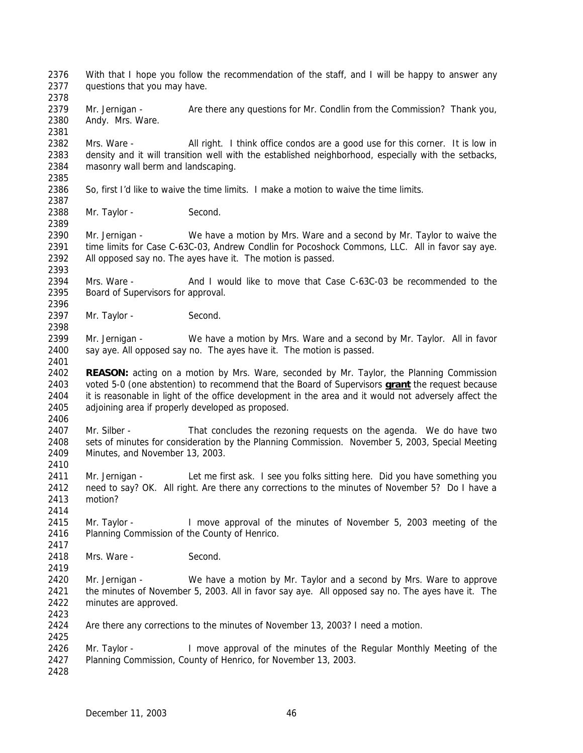With that I hope you follow the recommendation of the staff, and I will be happy to answer any questions that you may have.

2379 Mr. Jernigan - Are there any questions for Mr. Condlin from the Commission? Thank you, Andy. Mrs. Ware.

2382 Mrs. Ware - All right. I think office condos are a good use for this corner. It is low in density and it will transition well with the established neighborhood, especially with the setbacks, masonry wall berm and landscaping. 

So, first I'd like to waive the time limits. I make a motion to waive the time limits.

2388 Mr. Taylor - Second.

 Mr. Jernigan - We have a motion by Mrs. Ware and a second by Mr. Taylor to waive the time limits for Case C-63C-03, Andrew Condlin for Pocoshock Commons, LLC. All in favor say aye. All opposed say no. The ayes have it. The motion is passed.

 Mrs. Ware - And I would like to move that Case C-63C-03 be recommended to the Board of Supervisors for approval.

2397 Mr. Taylor - Second.

 Mr. Jernigan - We have a motion by Mrs. Ware and a second by Mr. Taylor. All in favor say aye. All opposed say no. The ayes have it. The motion is passed.

 **REASON:** acting on a motion by Mrs. Ware, seconded by Mr. Taylor, the Planning Commission voted 5-0 (one abstention) to recommend that the Board of Supervisors **grant** the request because it is reasonable in light of the office development in the area and it would not adversely affect the adjoining area if properly developed as proposed.

 Mr. Silber - That concludes the rezoning requests on the agenda. We do have two sets of minutes for consideration by the Planning Commission. November 5, 2003, Special Meeting Minutes, and November 13, 2003.

2411 Mr. Jernigan - Let me first ask. I see you folks sitting here. Did you have something you need to say? OK. All right. Are there any corrections to the minutes of November 5? Do I have a motion?

 Mr. Taylor - I move approval of the minutes of November 5, 2003 meeting of the Planning Commission of the County of Henrico.

2418 Mrs. Ware - Second.

 Mr. Jernigan - We have a motion by Mr. Taylor and a second by Mrs. Ware to approve the minutes of November 5, 2003. All in favor say aye. All opposed say no. The ayes have it. The minutes are approved.

 Are there any corrections to the minutes of November 13, 2003? I need a motion. 

2426 Mr. Taylor - I move approval of the minutes of the Regular Monthly Meeting of the Planning Commission, County of Henrico, for November 13, 2003.